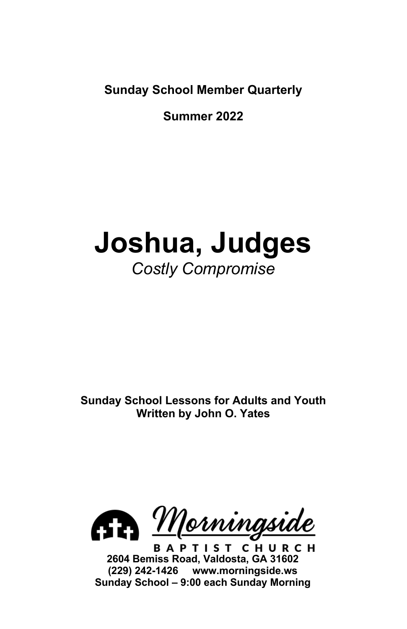**Sunday School Member Quarterly**

**Summer 2022**

# **Joshua, Judges** *Costly Compromise*

**Sunday School Lessons for Adults and Youth Written by John O. Yates**



**BAPTIST CHURCH 2604 Bemiss Road, Valdosta, GA 31602 (229) 242-1426 www.morningside.ws Sunday School – 9:00 each Sunday Morning**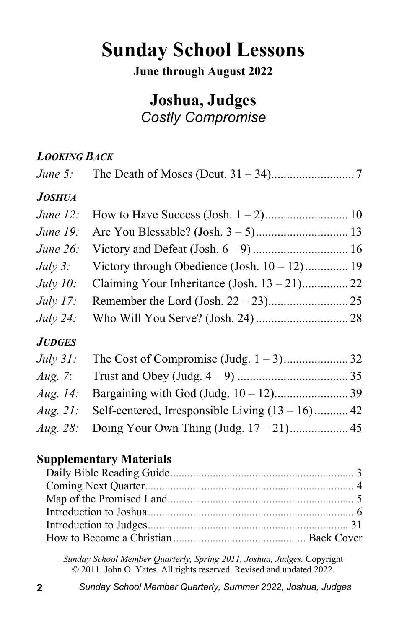## **Sunday School Lessons**

#### **June through August 2022**

### **Joshua, Judges** *Costly Compromise*

#### *LOOKING BACK*

| June $5$ :      |                                                    |  |
|-----------------|----------------------------------------------------|--|
| <b>JOSHUA</b>   |                                                    |  |
| June $12$ :     |                                                    |  |
| June 19:        |                                                    |  |
| June 26:        |                                                    |  |
| July $3$ :      | Victory through Obedience (Josh. $10 - 12$ ) 19    |  |
| <i>July 10:</i> | Claiming Your Inheritance (Josh. $13 - 21$ )22     |  |
| July $17$ :     |                                                    |  |
| <i>July 24:</i> |                                                    |  |
| <b>JUDGES</b>   |                                                    |  |
| July $31$ :     |                                                    |  |
| Aug. 7:         |                                                    |  |
| Aug. $14$ :     |                                                    |  |
| Aug. $21$ :     | Self-centered, Irresponsible Living $(13 - 16)$ 42 |  |
| Aug. 28:        |                                                    |  |
|                 |                                                    |  |

#### **Supplementary Materials**

*Sunday School Member Quarterly, Spring 2011, Joshua, Judges.* Copyright © 2011, John O. Yates. All rights reserved. Revised and updated 2022.

**2** *Sunday School Member Quarterly, Summer 2022, Joshua, Judges*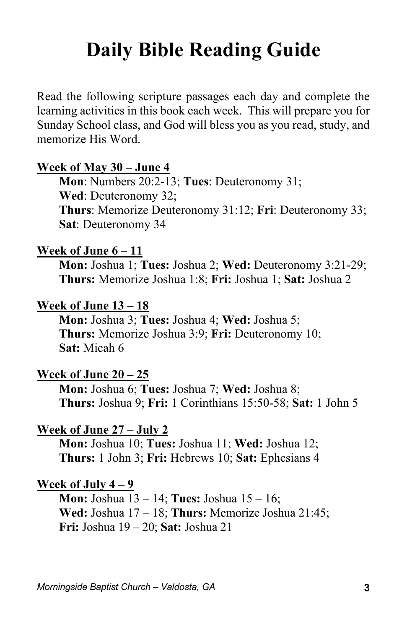## **Daily Bible Reading Guide**

Read the following scripture passages each day and complete the learning activities in this book each week. This will prepare you for Sunday School class, and God will bless you as you read, study, and memorize His Word.

#### **Week of May 30 – June 4**

**Mon**: Numbers 20:2-13; **Tues**: Deuteronomy 31; **Wed**: Deuteronomy 32; **Thurs**: Memorize Deuteronomy 31:12; **Fri**: Deuteronomy 33; **Sat**: Deuteronomy 34

#### **Week of June 6 – 11**

**Mon:** Joshua 1; **Tues:** Joshua 2; **Wed:** Deuteronomy 3:21-29; **Thurs:** Memorize Joshua 1:8; **Fri:** Joshua 1; **Sat:** Joshua 2

#### **Week of June 13 – 18**

**Mon:** Joshua 3; **Tues:** Joshua 4; **Wed:** Joshua 5; **Thurs:** Memorize Joshua 3:9; **Fri:** Deuteronomy 10; **Sat:** Micah 6

#### **Week of June 20 – 25**

**Mon:** Joshua 6; **Tues:** Joshua 7; **Wed:** Joshua 8; **Thurs:** Joshua 9; **Fri:** 1 Corinthians 15:50-58; **Sat:** 1 John 5

#### **Week of June 27 – July 2**

**Mon:** Joshua 10; **Tues:** Joshua 11; **Wed:** Joshua 12; **Thurs:** 1 John 3; **Fri:** Hebrews 10; **Sat:** Ephesians 4

#### **Week of July 4 – 9**

**Mon:** Joshua 13 – 14; **Tues:** Joshua 15 – 16; **Wed:** Joshua 17 – 18; **Thurs:** Memorize Joshua 21:45; **Fri:** Joshua 19 – 20; **Sat:** Joshua 21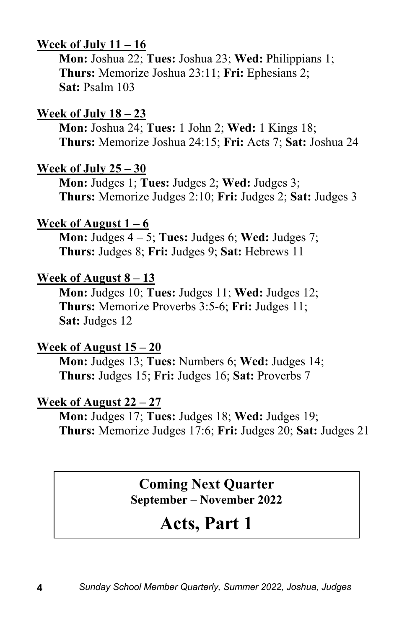#### **Week of July 11 – 16**

**Mon:** Joshua 22; **Tues:** Joshua 23; **Wed:** Philippians 1; **Thurs:** Memorize Joshua 23:11; **Fri:** Ephesians 2; **Sat:** Psalm 103

#### **Week of July 18 – 23**

**Mon:** Joshua 24; **Tues:** 1 John 2; **Wed:** 1 Kings 18; **Thurs:** Memorize Joshua 24:15; **Fri:** Acts 7; **Sat:** Joshua 24

#### **Week of July 25 – 30**

**Mon:** Judges 1; **Tues:** Judges 2; **Wed:** Judges 3; **Thurs:** Memorize Judges 2:10; **Fri:** Judges 2; **Sat:** Judges 3

#### **Week of August**  $1 - 6$

**Mon:** Judges 4 – 5; **Tues:** Judges 6; **Wed:** Judges 7; **Thurs:** Judges 8; **Fri:** Judges 9; **Sat:** Hebrews 11

#### **Week of August 8 – 13**

**Mon:** Judges 10; **Tues:** Judges 11; **Wed:** Judges 12; **Thurs:** Memorize Proverbs 3:5-6; **Fri:** Judges 11; **Sat:** Judges 12

#### **Week of August 15 – 20**

**Mon:** Judges 13; **Tues:** Numbers 6; **Wed:** Judges 14; **Thurs:** Judges 15; **Fri:** Judges 16; **Sat:** Proverbs 7

#### **Week of August 22 – 27**

**Mon:** Judges 17; **Tues:** Judges 18; **Wed:** Judges 19; **Thurs:** Memorize Judges 17:6; **Fri:** Judges 20; **Sat:** Judges 21

#### **Coming Next Quarter September – November 2022**

## **Acts, Part 1**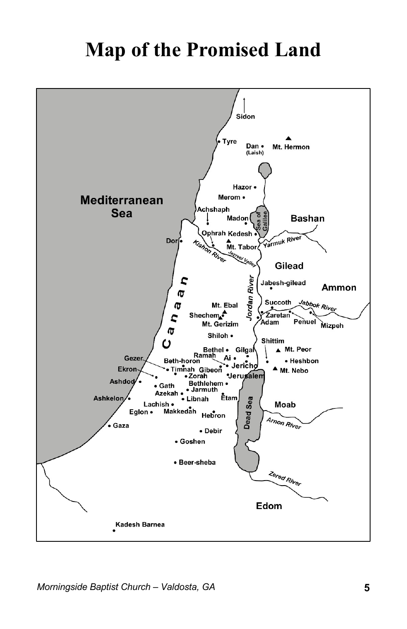## **Map of the Promised Land**

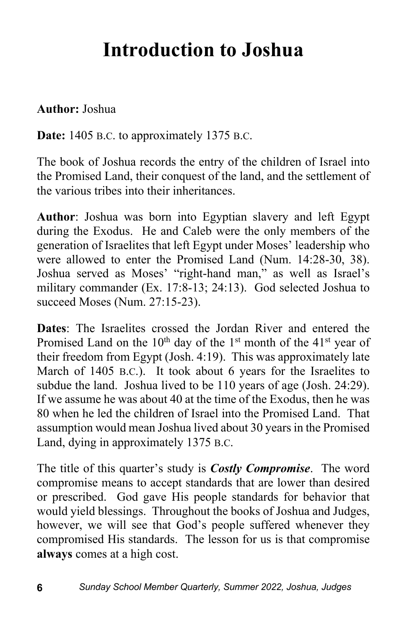## **Introduction to Joshua**

#### **Author:** Joshua

**Date:** 1405 B.C. to approximately 1375 B.C.

The book of Joshua records the entry of the children of Israel into the Promised Land, their conquest of the land, and the settlement of the various tribes into their inheritances.

**Author**: Joshua was born into Egyptian slavery and left Egypt during the Exodus. He and Caleb were the only members of the generation of Israelites that left Egypt under Moses' leadership who were allowed to enter the Promised Land (Num. 14:28-30, 38). Joshua served as Moses' "right-hand man," as well as Israel's military commander (Ex. 17:8-13; 24:13). God selected Joshua to succeed Moses (Num. 27:15-23).

**Dates**: The Israelites crossed the Jordan River and entered the Promised Land on the  $10^{th}$  day of the  $1^{st}$  month of the  $41^{st}$  year of their freedom from Egypt (Josh. 4:19). This was approximately late March of 1405 B.C.). It took about 6 years for the Israelites to subdue the land. Joshua lived to be 110 years of age (Josh. 24:29). If we assume he was about 40 at the time of the Exodus, then he was 80 when he led the children of Israel into the Promised Land. That assumption would mean Joshua lived about 30 years in the Promised Land, dying in approximately 1375 B.C.

The title of this quarter's study is *Costly Compromise*. The word compromise means to accept standards that are lower than desired or prescribed. God gave His people standards for behavior that would yield blessings. Throughout the books of Joshua and Judges, however, we will see that God's people suffered whenever they compromised His standards. The lesson for us is that compromise **always** comes at a high cost.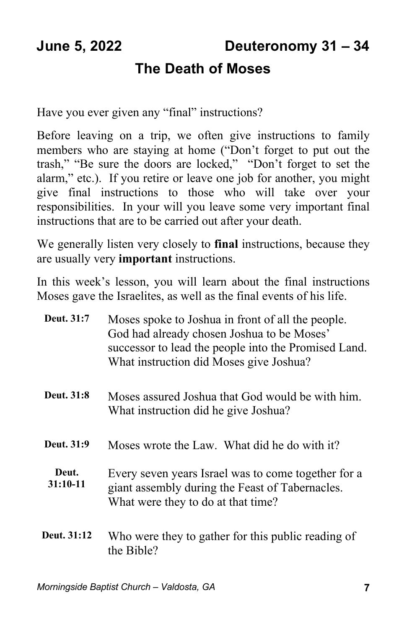## **The Death of Moses**

Have you ever given any "final" instructions?

Before leaving on a trip, we often give instructions to family members who are staying at home ("Don't forget to put out the trash," "Be sure the doors are locked," "Don't forget to set the alarm," etc.). If you retire or leave one job for another, you might give final instructions to those who will take over your responsibilities. In your will you leave some very important final instructions that are to be carried out after your death.

We generally listen very closely to **final** instructions, because they are usually very **important** instructions.

In this week's lesson, you will learn about the final instructions Moses gave the Israelites, as well as the final events of his life.

| Deut. 31:7          | Moses spoke to Joshua in front of all the people.<br>God had already chosen Joshua to be Moses'<br>successor to lead the people into the Promised Land.<br>What instruction did Moses give Joshua? |
|---------------------|----------------------------------------------------------------------------------------------------------------------------------------------------------------------------------------------------|
| <b>Deut.</b> 31:8   | Moses assured Joshua that God would be with him.<br>What instruction did he give Joshua?                                                                                                           |
| Deut. 31:9          | Moses wrote the Law. What did he do with it?                                                                                                                                                       |
| Deut.<br>$31:10-11$ | Every seven years Israel was to come together for a<br>giant assembly during the Feast of Tabernacles.<br>What were they to do at that time?                                                       |
| Deut. 31:12         | Who were they to gather for this public reading of<br>the Bible?                                                                                                                                   |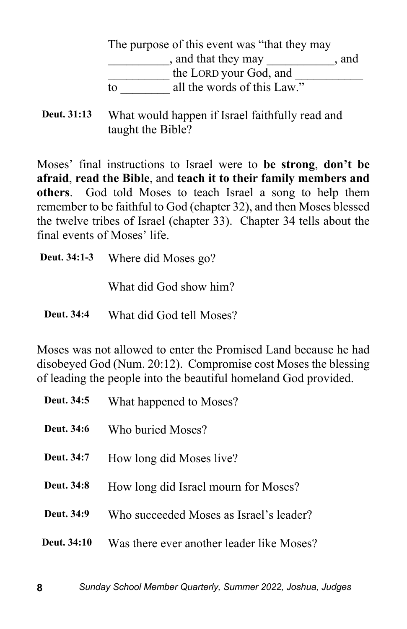|    | The purpose of this event was "that they may" |
|----|-----------------------------------------------|
|    | , and that they may<br>. and                  |
|    | the LORD your God, and                        |
| tο | all the words of this Law."                   |

**Deut. 31:13** What would happen if Israel faithfully read and taught the Bible?

Moses' final instructions to Israel were to **be strong**, **don't be afraid**, **read the Bible**, and **teach it to their family members and others**. God told Moses to teach Israel a song to help them remember to be faithful to God (chapter 32), and then Moses blessed the twelve tribes of Israel (chapter 33). Chapter 34 tells about the final events of Moses' life.

**Deut. 34:1-3** Where did Moses go? What did God show him? **Deut. 34:4** What did God tell Moses?

Moses was not allowed to enter the Promised Land because he had disobeyed God (Num. 20:12). Compromise cost Moses the blessing of leading the people into the beautiful homeland God provided.

| Deut. 34:5  | What happened to Moses?                   |
|-------------|-------------------------------------------|
| Deut. 34:6  | Who buried Moses?                         |
| Deut. 34:7  | How long did Moses live?                  |
| Deut. 34:8  | How long did Israel mourn for Moses?      |
| Deut. 34:9  | Who succeeded Moses as Israel's leader?   |
| Deut. 34:10 | Was there ever another leader like Moses? |
|             |                                           |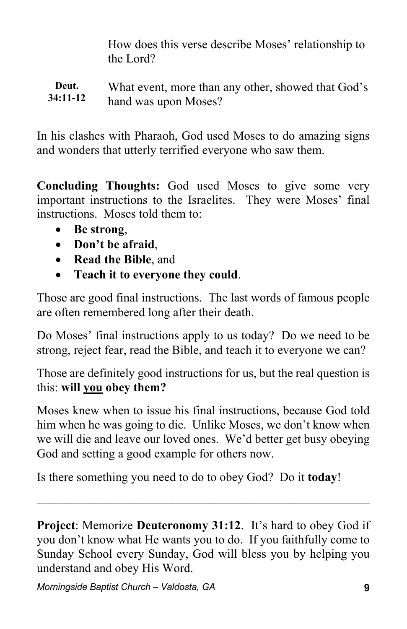How does this verse describe Moses' relationship to the Lord?

#### **Deut. 34:11-12** What event, more than any other, showed that God's hand was upon Moses?

In his clashes with Pharaoh, God used Moses to do amazing signs and wonders that utterly terrified everyone who saw them.

**Concluding Thoughts:** God used Moses to give some very important instructions to the Israelites. They were Moses' final instructions. Moses told them to:

- **Be strong**,
- **Don't be afraid**,
- **Read the Bible**, and
- **Teach it to everyone they could**.

Those are good final instructions. The last words of famous people are often remembered long after their death.

Do Moses' final instructions apply to us today? Do we need to be strong, reject fear, read the Bible, and teach it to everyone we can?

Those are definitely good instructions for us, but the real question is this: **will you obey them?**

Moses knew when to issue his final instructions, because God told him when he was going to die. Unlike Moses, we don't know when we will die and leave our loved ones. We'd better get busy obeying God and setting a good example for others now.

Is there something you need to do to obey God? Do it **today**!

**Project**: Memorize **Deuteronomy 31:12**. It's hard to obey God if you don't know what He wants you to do. If you faithfully come to Sunday School every Sunday, God will bless you by helping you understand and obey His Word.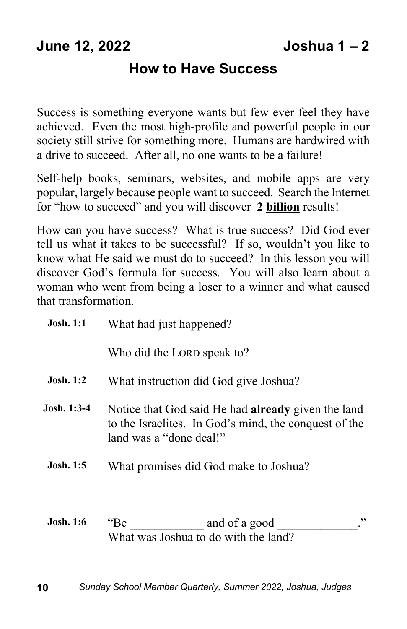#### **How to Have Success**

Success is something everyone wants but few ever feel they have achieved. Even the most high-profile and powerful people in our society still strive for something more. Humans are hardwired with a drive to succeed. After all, no one wants to be a failure!

Self-help books, seminars, websites, and mobile apps are very popular, largely because people want to succeed. Search the Internet for "how to succeed" and you will discover **2 billion** results!

How can you have success? What is true success? Did God ever tell us what it takes to be successful? If so, wouldn't you like to know what He said we must do to succeed? In this lesson you will discover God's formula for success. You will also learn about a woman who went from being a loser to a winner and what caused that transformation.

| <b>Josh. 1:1</b> | What had just happened?                                                                                                                       |
|------------------|-----------------------------------------------------------------------------------------------------------------------------------------------|
|                  | Who did the LORD speak to?                                                                                                                    |
| <b>Josh.</b> 1:2 | What instruction did God give Joshua?                                                                                                         |
| Josh. 1:3-4      | Notice that God said He had <b>already</b> given the land<br>to the Israelites. In God's mind, the conquest of the<br>land was a "done deal!" |
| <b>Josh.</b> 1:5 | What promises did God make to Joshua?                                                                                                         |
| <b>Josh.</b> 1:6 | , ,<br>and of a good<br>$\text{``Be}$<br>What was Joshua to do with the land?                                                                 |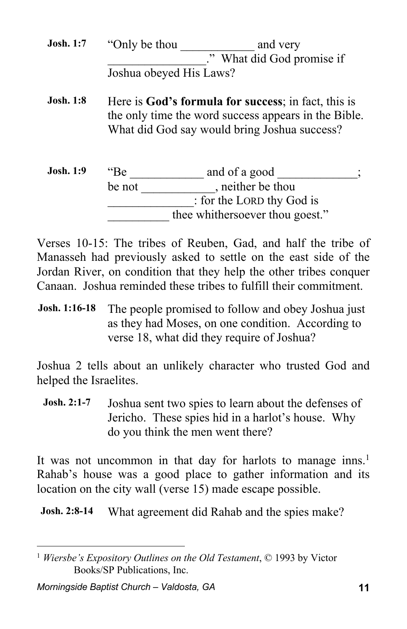**Josh. 1:7** "Only be thou and very \_\_\_\_\_\_\_\_\_\_\_\_\_\_\_\_." What did God promise if Joshua obeyed His Laws?

**Josh. 1:8** Here is God's formula for success; in fact, this is the only time the word success appears in the Bible. What did God say would bring Joshua success?

| <b>Josh.</b> 1:9 | "Вe    | and of a good                   |  |
|------------------|--------|---------------------------------|--|
|                  | be not | , neither be thou               |  |
|                  |        | : for the LORD thy God is       |  |
|                  |        | thee whithersoever thou goest." |  |

Verses 10-15: The tribes of Reuben, Gad, and half the tribe of Manasseh had previously asked to settle on the east side of the Jordan River, on condition that they help the other tribes conquer Canaan. Joshua reminded these tribes to fulfill their commitment.

**Josh. 1:16-18** The people promised to follow and obey Joshua just as they had Moses, on one condition. According to verse 18, what did they require of Joshua?

Joshua 2 tells about an unlikely character who trusted God and helped the Israelites.

**Josh. 2:1-7** Joshua sent two spies to learn about the defenses of Jericho. These spies hid in a harlot's house. Why do you think the men went there?

It was not uncommon in that day for harlots to manage inns.<sup>1</sup> Rahab's house was a good place to gather information and its location on the city wall (verse 15) made escape possible.

**Josh.** 2:8-14 What agreement did Rahab and the spies make?

<sup>1</sup> *Wiersbe's Expository Outlines on the Old Testament*, © 1993 by Victor Books/SP Publications, Inc.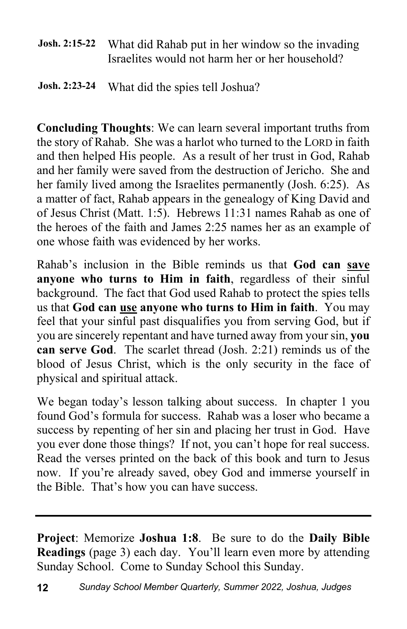**Josh. 2:15-22** What did Rahab put in her window so the invading Israelites would not harm her or her household?

#### **Josh. 2:23-24** What did the spies tell Joshua?

**Concluding Thoughts**: We can learn several important truths from the story of Rahab. She was a harlot who turned to the LORD in faith and then helped His people. As a result of her trust in God, Rahab and her family were saved from the destruction of Jericho. She and her family lived among the Israelites permanently (Josh. 6:25). As a matter of fact, Rahab appears in the genealogy of King David and of Jesus Christ (Matt. 1:5). Hebrews 11:31 names Rahab as one of the heroes of the faith and James 2:25 names her as an example of one whose faith was evidenced by her works.

Rahab's inclusion in the Bible reminds us that **God can save anyone who turns to Him in faith**, regardless of their sinful background. The fact that God used Rahab to protect the spies tells us that **God can use anyone who turns to Him in faith**. You may feel that your sinful past disqualifies you from serving God, but if you are sincerely repentant and have turned away from your sin, **you can serve God**. The scarlet thread (Josh. 2:21) reminds us of the blood of Jesus Christ, which is the only security in the face of physical and spiritual attack.

We began today's lesson talking about success. In chapter 1 you found God's formula for success. Rahab was a loser who became a success by repenting of her sin and placing her trust in God. Have you ever done those things? If not, you can't hope for real success. Read the verses printed on the back of this book and turn to Jesus now. If you're already saved, obey God and immerse yourself in the Bible. That's how you can have success.

**Project**: Memorize **Joshua 1:8**. Be sure to do the **Daily Bible Readings** (page 3) each day. You'll learn even more by attending Sunday School. Come to Sunday School this Sunday.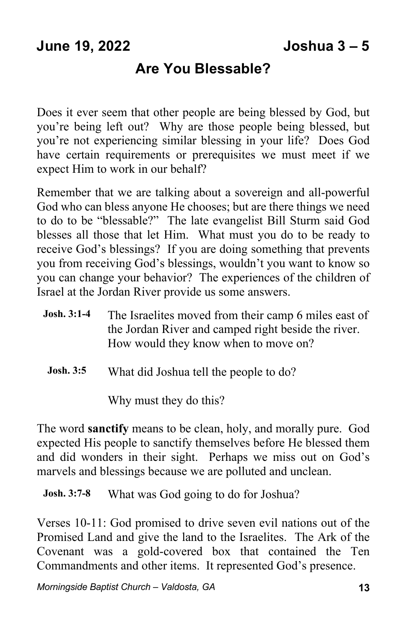### **Are You Blessable?**

Does it ever seem that other people are being blessed by God, but you're being left out? Why are those people being blessed, but you're not experiencing similar blessing in your life? Does God have certain requirements or prerequisites we must meet if we expect Him to work in our behalf?

Remember that we are talking about a sovereign and all-powerful God who can bless anyone He chooses; but are there things we need to do to be "blessable?" The late evangelist Bill Sturm said God blesses all those that let Him. What must you do to be ready to receive God's blessings? If you are doing something that prevents you from receiving God's blessings, wouldn't you want to know so you can change your behavior? The experiences of the children of Israel at the Jordan River provide us some answers.

- **Josh. 3:1-4** The Israelites moved from their camp 6 miles east of the Jordan River and camped right beside the river. How would they know when to move on?
- **Josh. 3:5** What did Joshua tell the people to do?

Why must they do this?

The word **sanctify** means to be clean, holy, and morally pure. God expected His people to sanctify themselves before He blessed them and did wonders in their sight. Perhaps we miss out on God's marvels and blessings because we are polluted and unclean.

**Josh. 3:7-8** What was God going to do for Joshua?

Verses 10-11: God promised to drive seven evil nations out of the Promised Land and give the land to the Israelites. The Ark of the Covenant was a gold-covered box that contained the Ten Commandments and other items. It represented God's presence.

*Morningside Baptist Church – Valdosta, GA* **13**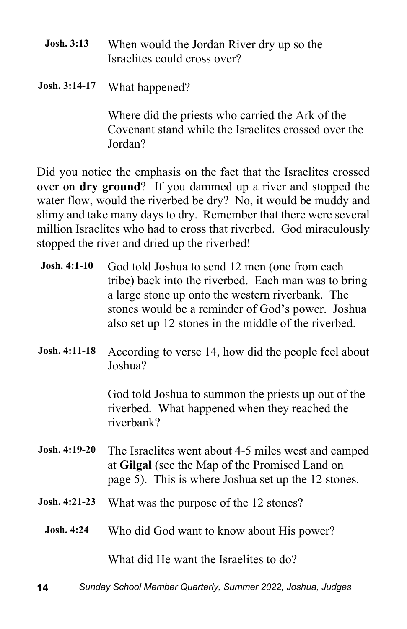- **Josh. 3:13** When would the Jordan River dry up so the Israelites could cross over?
- **Josh. 3:14-17** What happened?

Where did the priests who carried the Ark of the Covenant stand while the Israelites crossed over the Jordan?

Did you notice the emphasis on the fact that the Israelites crossed over on **dry ground**? If you dammed up a river and stopped the water flow, would the riverbed be dry? No, it would be muddy and slimy and take many days to dry. Remember that there were several million Israelites who had to cross that riverbed. God miraculously stopped the river and dried up the riverbed!

| Josh. 4:1-10      | God told Joshua to send 12 men (one from each<br>tribe) back into the riverbed. Each man was to bring<br>a large stone up onto the western riverbank. The<br>stones would be a reminder of God's power. Joshua<br>also set up 12 stones in the middle of the riverbed. |
|-------------------|------------------------------------------------------------------------------------------------------------------------------------------------------------------------------------------------------------------------------------------------------------------------|
| Josh. 4:11-18     | According to verse 14, how did the people feel about<br>Joshua?                                                                                                                                                                                                        |
|                   | God told Joshua to summon the priests up out of the<br>riverbed. What happened when they reached the<br>riverbank?                                                                                                                                                     |
| Josh. 4:19-20     | The Israelites went about 4-5 miles west and camped<br>at Gilgal (see the Map of the Promised Land on<br>page 5). This is where Joshua set up the 12 stones.                                                                                                           |
| Josh. 4:21-23     | What was the purpose of the 12 stones?                                                                                                                                                                                                                                 |
| <b>Josh. 4:24</b> | Who did God want to know about His power?                                                                                                                                                                                                                              |
|                   | What did He want the Israelites to do?                                                                                                                                                                                                                                 |

**14** *Sunday School Member Quarterly, Summer 2022, Joshua, Judges*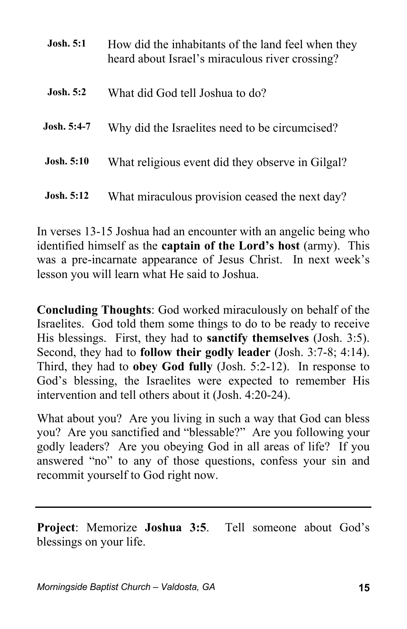| <b>Josh.</b> 5:1  | How did the inhabitants of the land feel when they<br>heard about Israel's miraculous river crossing? |
|-------------------|-------------------------------------------------------------------------------------------------------|
| <b>Josh.</b> 5:2  | What did God tell Joshua to do?                                                                       |
| Josh. 5:4-7       | Why did the Israelites need to be circumcised?                                                        |
| Josh. 5:10        | What religious event did they observe in Gilgal?                                                      |
| <b>Josh.</b> 5:12 | What miraculous provision ceased the next day?                                                        |

In verses 13-15 Joshua had an encounter with an angelic being who identified himself as the **captain of the Lord's host** (army). This was a pre-incarnate appearance of Jesus Christ. In next week's lesson you will learn what He said to Joshua.

**Concluding Thoughts**: God worked miraculously on behalf of the Israelites. God told them some things to do to be ready to receive His blessings. First, they had to **sanctify themselves** (Josh. 3:5). Second, they had to **follow their godly leader** (Josh. 3:7-8; 4:14). Third, they had to **obey God fully** (Josh. 5:2-12). In response to God's blessing, the Israelites were expected to remember His intervention and tell others about it (Josh. 4:20-24).

What about you? Are you living in such a way that God can bless you? Are you sanctified and "blessable?" Are you following your godly leaders? Are you obeying God in all areas of life? If you answered "no" to any of those questions, confess your sin and recommit yourself to God right now.

**Project**: Memorize **Joshua 3:5**. Tell someone about God's blessings on your life.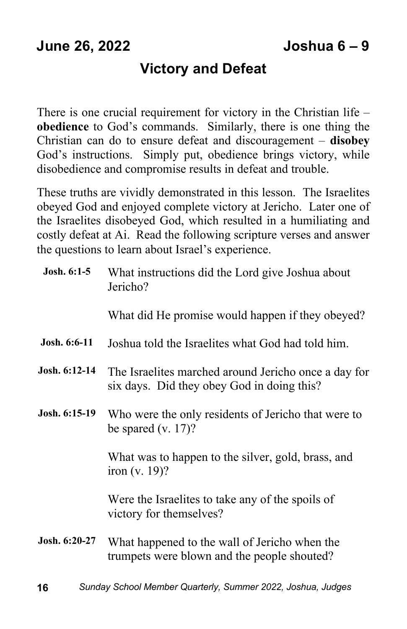#### **Victory and Defeat**

There is one crucial requirement for victory in the Christian life – **obedience** to God's commands. Similarly, there is one thing the Christian can do to ensure defeat and discouragement – **disobey** God's instructions. Simply put, obedience brings victory, while disobedience and compromise results in defeat and trouble.

These truths are vividly demonstrated in this lesson. The Israelites obeyed God and enjoyed complete victory at Jericho. Later one of the Israelites disobeyed God, which resulted in a humiliating and costly defeat at Ai. Read the following scripture verses and answer the questions to learn about Israel's experience.

| Josh. $6:1-5$ | What instructions did the Lord give Joshua about<br>Jericho?                                       |
|---------------|----------------------------------------------------------------------------------------------------|
|               | What did He promise would happen if they obeyed?                                                   |
| Josh. 6:6-11  | Joshua told the Israelites what God had told him.                                                  |
| Josh. 6:12-14 | The Israelites marched around Jericho once a day for<br>six days. Did they obey God in doing this? |
| Josh. 6:15-19 | Who were the only residents of Jericho that were to<br>be spared (v. 17)?                          |
|               | What was to happen to the silver, gold, brass, and<br>iron $(v. 19)$ ?                             |
|               | Were the Israelites to take any of the spoils of<br>victory for themselves?                        |
| Josh. 6:20-27 | What happened to the wall of Jericho when the<br>trumpets were blown and the people shouted?       |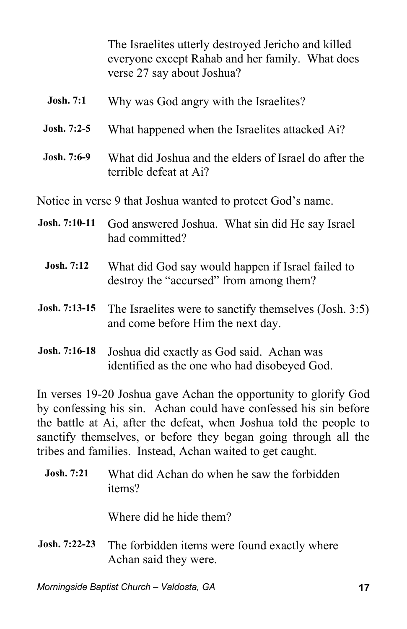The Israelites utterly destroyed Jericho and killed everyone except Rahab and her family. What does verse 27 say about Joshua?

| <b>Josh.</b> 7:1                                            | Why was God angry with the Israelites?                                                       |  |
|-------------------------------------------------------------|----------------------------------------------------------------------------------------------|--|
| Josh. $7:2-5$                                               | What happened when the Israelites attacked Ai?                                               |  |
| Josh. 7:6-9                                                 | What did Joshua and the elders of Israel do after the<br>terrible defeat at Ai?              |  |
| Notice in verse 9 that Joshua wanted to protect God's name. |                                                                                              |  |
| Josh. 7:10-11                                               | God answered Joshua. What sin did He say Israel<br>had committed?                            |  |
| <b>Josh.</b> 7:12                                           | What did God say would happen if Israel failed to<br>destroy the "accursed" from among them? |  |
| Josh. 7:13-15                                               | The Israelites were to sanctify themselves (Josh. 3:5)<br>and come before Him the next day.  |  |

**Josh. 7:16-18** Joshua did exactly as God said. Achan was identified as the one who had disobeyed God.

In verses 19-20 Joshua gave Achan the opportunity to glorify God by confessing his sin. Achan could have confessed his sin before the battle at Ai, after the defeat, when Joshua told the people to sanctify themselves, or before they began going through all the tribes and families. Instead, Achan waited to get caught.

| <b>Josh.</b> 7:21 | What did Achan do when he saw the forbidden<br>items?                 |
|-------------------|-----------------------------------------------------------------------|
|                   | Where did he hide them?                                               |
| Josh. 7:22-23     | The forbidden items were found exactly where<br>Achan said they were. |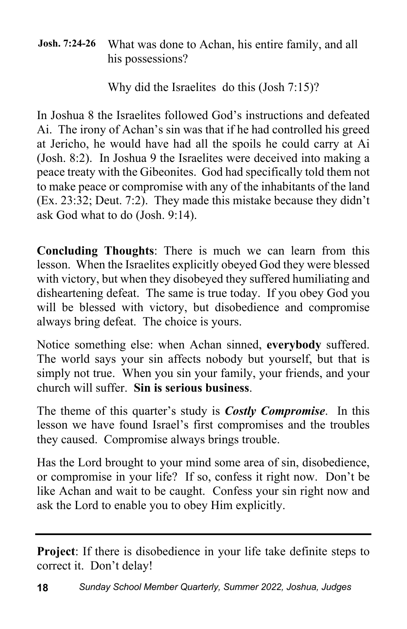#### **Josh. 7:24-26** What was done to Achan, his entire family, and all his possessions?

Why did the Israelites do this (Josh 7:15)?

In Joshua 8 the Israelites followed God's instructions and defeated Ai. The irony of Achan's sin was that if he had controlled his greed at Jericho, he would have had all the spoils he could carry at Ai (Josh. 8:2). In Joshua 9 the Israelites were deceived into making a peace treaty with the Gibeonites. God had specifically told them not to make peace or compromise with any of the inhabitants of the land (Ex. 23:32; Deut. 7:2). They made this mistake because they didn't ask God what to do (Josh. 9:14).

**Concluding Thoughts**: There is much we can learn from this lesson. When the Israelites explicitly obeyed God they were blessed with victory, but when they disobeyed they suffered humiliating and disheartening defeat. The same is true today. If you obey God you will be blessed with victory, but disobedience and compromise always bring defeat. The choice is yours.

Notice something else: when Achan sinned, **everybody** suffered. The world says your sin affects nobody but yourself, but that is simply not true. When you sin your family, your friends, and your church will suffer. **Sin is serious business**.

The theme of this quarter's study is *Costly Compromise*. In this lesson we have found Israel's first compromises and the troubles they caused. Compromise always brings trouble.

Has the Lord brought to your mind some area of sin, disobedience, or compromise in your life? If so, confess it right now. Don't be like Achan and wait to be caught. Confess your sin right now and ask the Lord to enable you to obey Him explicitly.

**Project**: If there is disobedience in your life take definite steps to correct it. Don't delay!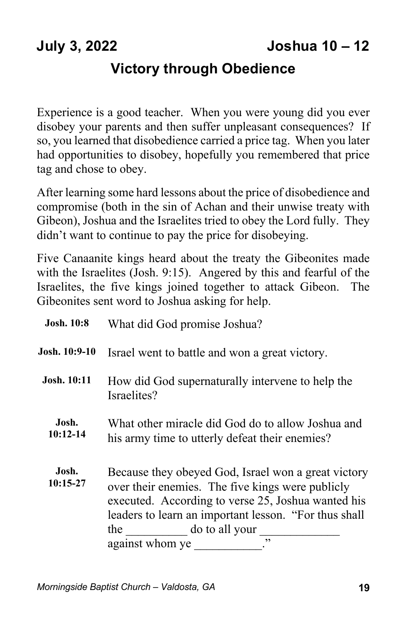#### **Victory through Obedience**

Experience is a good teacher. When you were young did you ever disobey your parents and then suffer unpleasant consequences? If so, you learned that disobedience carried a price tag. When you later had opportunities to disobey, hopefully you remembered that price tag and chose to obey.

After learning some hard lessons about the price of disobedience and compromise (both in the sin of Achan and their unwise treaty with Gibeon), Joshua and the Israelites tried to obey the Lord fully. They didn't want to continue to pay the price for disobeying.

Five Canaanite kings heard about the treaty the Gibeonites made with the Israelites (Josh. 9:15). Angered by this and fearful of the Israelites, the five kings joined together to attack Gibeon. The Gibeonites sent word to Joshua asking for help.

| <b>Josh. 10:8</b>   | What did God promise Joshua?                                                                                                                                                                                                                                             |
|---------------------|--------------------------------------------------------------------------------------------------------------------------------------------------------------------------------------------------------------------------------------------------------------------------|
| Josh. 10:9-10       | Israel went to battle and won a great victory.                                                                                                                                                                                                                           |
| <b>Josh. 10:11</b>  | How did God supernaturally intervene to help the<br>Israelites?                                                                                                                                                                                                          |
| Josh.<br>$10:12-14$ | What other miracle did God do to allow Joshua and<br>his army time to utterly defeat their enemies?                                                                                                                                                                      |
| Josh.<br>$10:15-27$ | Because they obeyed God, Israel won a great victory<br>over their enemies. The five kings were publicly<br>executed. According to verse 25, Joshua wanted his<br>leaders to learn an important lesson. "For thus shall<br>do to all your<br>the<br>,,<br>against whom ye |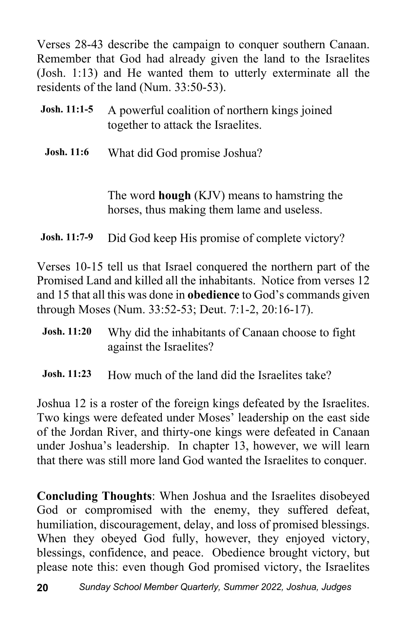Verses 28-43 describe the campaign to conquer southern Canaan. Remember that God had already given the land to the Israelites (Josh. 1:13) and He wanted them to utterly exterminate all the residents of the land (Num. 33:50-53).

| Josh. $11:1-5$      | A powerful coalition of northern kings joined<br>together to attack the Israelites.              |
|---------------------|--------------------------------------------------------------------------------------------------|
| <b>Josh.</b> 11:6   | What did God promise Joshua?                                                                     |
|                     | The word <b>hough</b> (KJV) means to hamstring the<br>horses, thus making them lame and useless. |
| <b>Josh.</b> 11:7-9 | Did God keep His promise of complete victory?                                                    |

Verses 10-15 tell us that Israel conquered the northern part of the Promised Land and killed all the inhabitants. Notice from verses 12 and 15 that all this was done in **obedience** to God's commands given through Moses (Num. 33:52-53; Deut. 7:1-2, 20:16-17).

| <b>Josh.</b> 11:20 | Why did the inhabitants of Canaan choose to fight |
|--------------------|---------------------------------------------------|
|                    | against the Israelites?                           |

**Josh. 11:23** How much of the land did the Israelites take?

Joshua 12 is a roster of the foreign kings defeated by the Israelites. Two kings were defeated under Moses' leadership on the east side of the Jordan River, and thirty-one kings were defeated in Canaan under Joshua's leadership. In chapter 13, however, we will learn that there was still more land God wanted the Israelites to conquer.

**Concluding Thoughts**: When Joshua and the Israelites disobeyed God or compromised with the enemy, they suffered defeat, humiliation, discouragement, delay, and loss of promised blessings. When they obeyed God fully, however, they enjoyed victory, blessings, confidence, and peace. Obedience brought victory, but please note this: even though God promised victory, the Israelites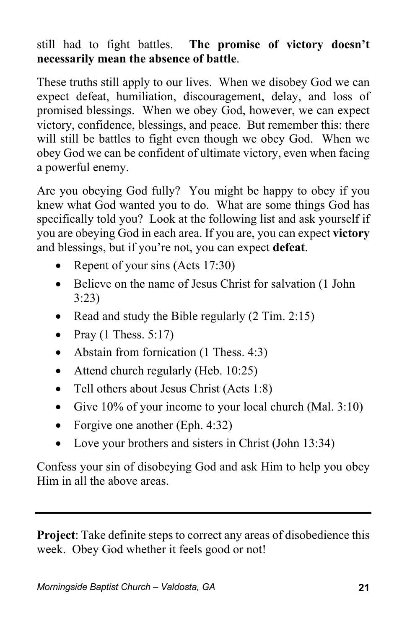#### still had to fight battles. **The promise of victory doesn't necessarily mean the absence of battle**.

These truths still apply to our lives. When we disobey God we can expect defeat, humiliation, discouragement, delay, and loss of promised blessings. When we obey God, however, we can expect victory, confidence, blessings, and peace. But remember this: there will still be battles to fight even though we obey God. When we obey God we can be confident of ultimate victory, even when facing a powerful enemy.

Are you obeying God fully? You might be happy to obey if you knew what God wanted you to do. What are some things God has specifically told you? Look at the following list and ask yourself if you are obeying God in each area. If you are, you can expect **victory** and blessings, but if you're not, you can expect **defeat**.

- Repent of your sins (Acts 17:30)
- Believe on the name of Jesus Christ for salvation (1 John 3:23)
- Read and study the Bible regularly (2 Tim. 2:15)
- Pray  $(1$  Thess. 5:17)
- Abstain from fornication (1 Thess. 4:3)
- Attend church regularly (Heb. 10:25)
- Tell others about Jesus Christ (Acts 1:8)
- Give 10% of your income to your local church (Mal. 3:10)
- Forgive one another (Eph. 4:32)
- Love your brothers and sisters in Christ (John 13:34)

Confess your sin of disobeying God and ask Him to help you obey Him in all the above areas.

**Project**: Take definite steps to correct any areas of disobedience this week. Obey God whether it feels good or not!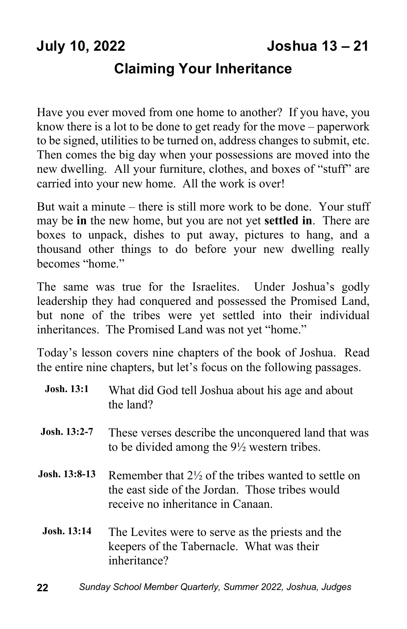#### **Claiming Your Inheritance**

Have you ever moved from one home to another? If you have, you know there is a lot to be done to get ready for the move – paperwork to be signed, utilities to be turned on, address changes to submit, etc. Then comes the big day when your possessions are moved into the new dwelling. All your furniture, clothes, and boxes of "stuff" are carried into your new home. All the work is over!

But wait a minute – there is still more work to be done. Your stuff may be **in** the new home, but you are not yet **settled in**. There are boxes to unpack, dishes to put away, pictures to hang, and a thousand other things to do before your new dwelling really becomes "home."

The same was true for the Israelites. Under Joshua's godly leadership they had conquered and possessed the Promised Land, but none of the tribes were yet settled into their individual inheritances. The Promised Land was not yet "home."

Today's lesson covers nine chapters of the book of Joshua. Read the entire nine chapters, but let's focus on the following passages.

| <b>Josh.</b> 13:1  | What did God tell Joshua about his age and about<br>the land?                                                                                          |
|--------------------|--------------------------------------------------------------------------------------------------------------------------------------------------------|
| Josh. $13:2-7$     | These verses describe the unconquered land that was<br>to be divided among the $9\frac{1}{2}$ western tribes.                                          |
| Josh. 13:8-13.     | Remember that $2\frac{1}{2}$ of the tribes wanted to settle on<br>the east side of the Jordan. Those tribes would<br>receive no inheritance in Canaan. |
| <b>Josh.</b> 13:14 | The Levites were to serve as the priests and the<br>keepers of the Tabernacle. What was their<br>inheritance?                                          |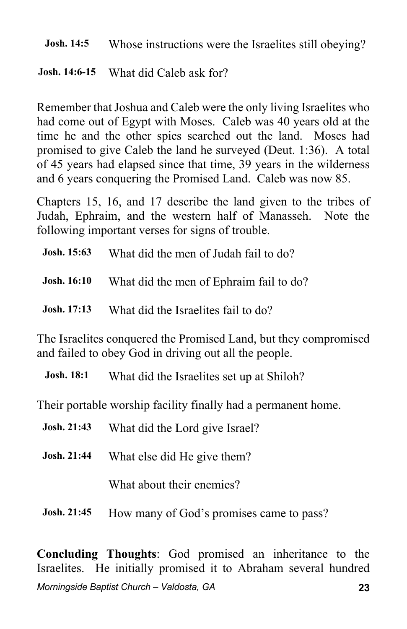**Josh. 14:5** Whose instructions were the Israelites still obeying?

**Josh. 14:6-15** What did Caleb ask for?

Remember that Joshua and Caleb were the only living Israelites who had come out of Egypt with Moses. Caleb was 40 years old at the time he and the other spies searched out the land. Moses had promised to give Caleb the land he surveyed (Deut. 1:36). A total of 45 years had elapsed since that time, 39 years in the wilderness and 6 years conquering the Promised Land. Caleb was now 85.

Chapters 15, 16, and 17 describe the land given to the tribes of Judah, Ephraim, and the western half of Manasseh. Note the following important verses for signs of trouble.

| Josh. 15:63        | What did the men of Judah fail to do?   |
|--------------------|-----------------------------------------|
| <b>Josh. 16:10</b> | What did the men of Ephraim fail to do? |
| <b>Josh.</b> 17:13 | What did the Israelites fail to do?     |

The Israelites conquered the Promised Land, but they compromised and failed to obey God in driving out all the people.

**Josh. 18:1** What did the Israelites set up at Shiloh?

Their portable worship facility finally had a permanent home.

| <b>Josh. 21:43</b> | What did the Lord give Israel? |
|--------------------|--------------------------------|
| <b>Josh. 21:44</b> | What else did He give them?    |
|                    | What about their enemies?      |

**Josh. 21:45** How many of God's promises came to pass?

*Morningside Baptist Church – Valdosta, GA* **23 Concluding Thoughts**: God promised an inheritance to the Israelites. He initially promised it to Abraham several hundred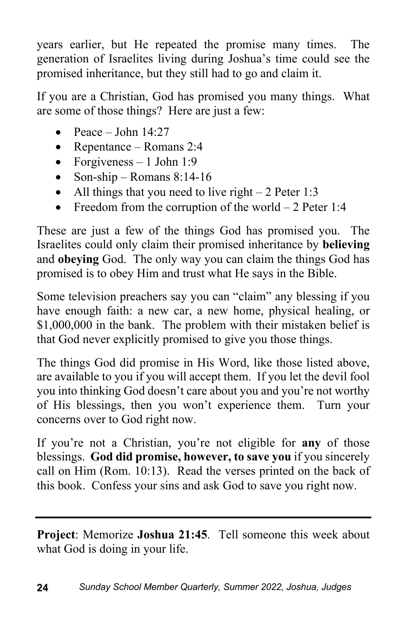years earlier, but He repeated the promise many times. The generation of Israelites living during Joshua's time could see the promised inheritance, but they still had to go and claim it.

If you are a Christian, God has promised you many things. What are some of those things? Here are just a few:

- Peace John  $14:27$
- Repentance Romans 2:4
- Forgiveness  $-1$  John 1:9
- Son-ship Romans  $8:14-16$
- All things that you need to live right  $-2$  Peter 1:3
- Freedom from the corruption of the world  $-2$  Peter 1:4

These are just a few of the things God has promised you. The Israelites could only claim their promised inheritance by **believing** and **obeying** God. The only way you can claim the things God has promised is to obey Him and trust what He says in the Bible.

Some television preachers say you can "claim" any blessing if you have enough faith: a new car, a new home, physical healing, or \$1,000,000 in the bank. The problem with their mistaken belief is that God never explicitly promised to give you those things.

The things God did promise in His Word, like those listed above, are available to you if you will accept them. If you let the devil fool you into thinking God doesn't care about you and you're not worthy of His blessings, then you won't experience them. Turn your concerns over to God right now.

If you're not a Christian, you're not eligible for **any** of those blessings. **God did promise, however, to save you** if you sincerely call on Him (Rom. 10:13). Read the verses printed on the back of this book. Confess your sins and ask God to save you right now.

**Project**: Memorize **Joshua 21:45**. Tell someone this week about what God is doing in your life.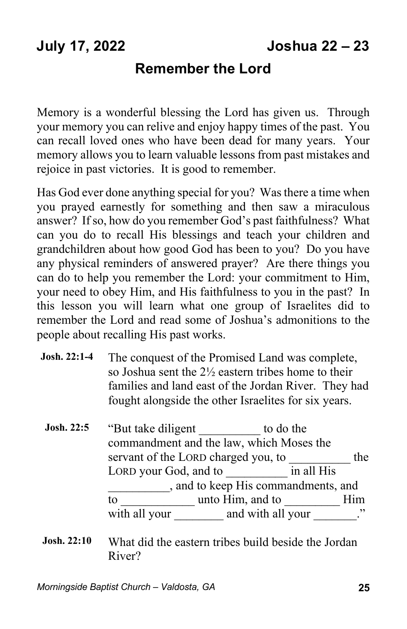#### **Remember the Lord**

Memory is a wonderful blessing the Lord has given us. Through your memory you can relive and enjoy happy times of the past. You can recall loved ones who have been dead for many years. Your memory allows you to learn valuable lessons from past mistakes and rejoice in past victories. It is good to remember.

Has God ever done anything special for you? Was there a time when you prayed earnestly for something and then saw a miraculous answer? If so, how do you remember God's past faithfulness? What can you do to recall His blessings and teach your children and grandchildren about how good God has been to you? Do you have any physical reminders of answered prayer? Are there things you can do to help you remember the Lord: your commitment to Him, your need to obey Him, and His faithfulness to you in the past? In this lesson you will learn what one group of Israelites did to remember the Lord and read some of Joshua's admonitions to the people about recalling His past works.

| The conquest of the Promised Land was complete,                |
|----------------------------------------------------------------|
| so Joshua sent the $2\frac{1}{2}$ eastern tribes home to their |
| families and land east of the Jordan River. They had           |
| fought alongside the other Israelites for six years.           |
|                                                                |

- **Josh.** 22:5 "But take diligent to do the commandment and the law, which Moses the servant of the LORD charged you, to the LORD your God, and to \_\_\_\_\_\_\_\_\_\_ in all His \_\_\_\_\_\_\_\_\_\_, and to keep His commandments, and to \_\_\_\_\_\_\_\_\_\_\_\_ unto Him, and to \_\_\_\_\_\_\_\_\_ Him with all your and with all your  $\cdots$
- **Josh. 22:10** What did the eastern tribes build beside the Jordan River?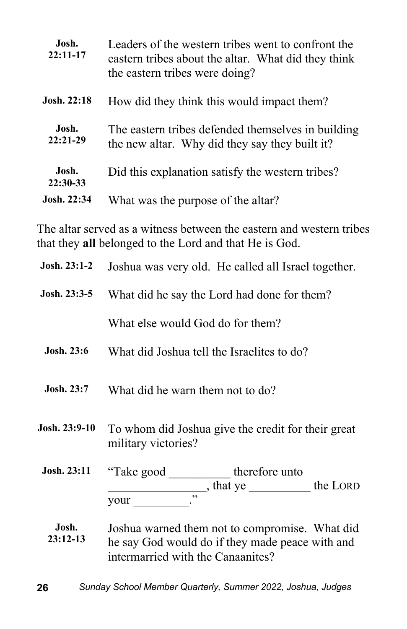| Josh.<br>$22:11-17$ | Leaders of the western tribes went to confront the<br>eastern tribes about the altar. What did they think<br>the eastern tribes were doing? |
|---------------------|---------------------------------------------------------------------------------------------------------------------------------------------|
| <b>Josh. 22:18</b>  | How did they think this would impact them?                                                                                                  |
| Josh.<br>$22:21-29$ | The eastern tribes defended themselves in building<br>the new altar. Why did they say they built it?                                        |
| Josh.<br>22:30-33   | Did this explanation satisfy the western tribes?                                                                                            |
| <b>Josh.</b> 22:34  | What was the purpose of the altar?                                                                                                          |

The altar served as a witness between the eastern and western tribes that they **all** belonged to the Lord and that He is God.

| Josh. 23:1-2        | Joshua was very old. He called all Israel together.                                                                                    |
|---------------------|----------------------------------------------------------------------------------------------------------------------------------------|
| $Josh. 23:3-5$      | What did he say the Lord had done for them?                                                                                            |
|                     | What else would God do for them?                                                                                                       |
| <b>Josh. 23:6</b>   | What did Joshua tell the Israelites to do?                                                                                             |
| <b>Josh. 23:7</b>   | What did he warn them not to do?                                                                                                       |
| Josh. 23:9-10       | To whom did Joshua give the credit for their great<br>military victories?                                                              |
| <b>Josh. 23:11</b>  | "Take good ____________ therefore unto                                                                                                 |
|                     | $\frac{1}{2}$ , that ye $\frac{1}{2}$ the LORD<br>$\cdot$<br>your                                                                      |
| Josh.<br>$23:12-13$ | Joshua warned them not to compromise. What did<br>he say God would do if they made peace with and<br>intermarried with the Canaanites? |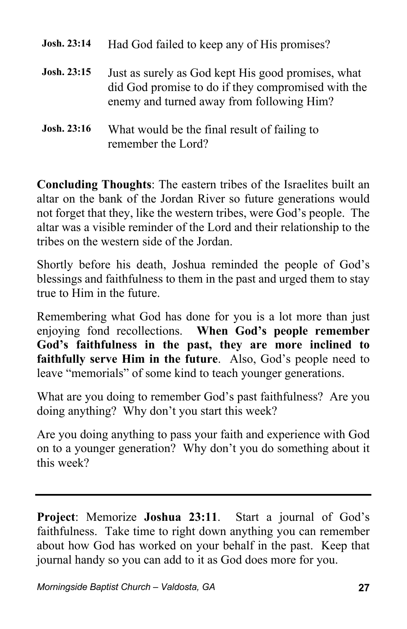| Josh. 23:14 | Had God failed to keep any of His promises?                                                                                                           |
|-------------|-------------------------------------------------------------------------------------------------------------------------------------------------------|
| Josh. 23:15 | Just as surely as God kept His good promises, what<br>did God promise to do if they compromised with the<br>enemy and turned away from following Him? |
| Josh. 23:16 | What would be the final result of failing to<br>remember the Lord?                                                                                    |

**Concluding Thoughts**: The eastern tribes of the Israelites built an altar on the bank of the Jordan River so future generations would not forget that they, like the western tribes, were God's people. The altar was a visible reminder of the Lord and their relationship to the tribes on the western side of the Jordan.

Shortly before his death, Joshua reminded the people of God's blessings and faithfulness to them in the past and urged them to stay true to Him in the future.

Remembering what God has done for you is a lot more than just enjoying fond recollections. **When God's people remember God's faithfulness in the past, they are more inclined to faithfully serve Him in the future**. Also, God's people need to leave "memorials" of some kind to teach younger generations.

What are you doing to remember God's past faithfulness? Are you doing anything? Why don't you start this week?

Are you doing anything to pass your faith and experience with God on to a younger generation? Why don't you do something about it this week?

**Project**: Memorize **Joshua 23:11**. Start a journal of God's faithfulness. Take time to right down anything you can remember about how God has worked on your behalf in the past. Keep that journal handy so you can add to it as God does more for you.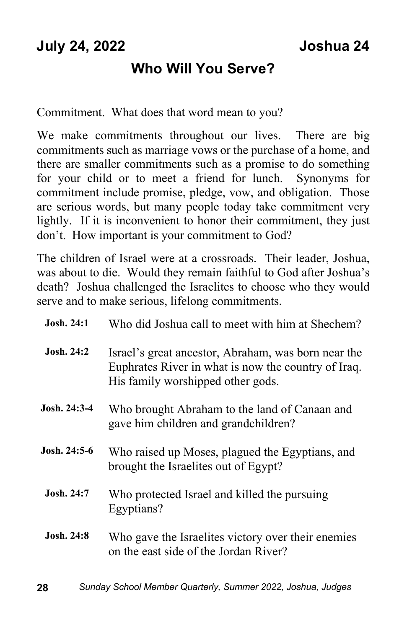### **Who Will You Serve?**

Commitment. What does that word mean to you?

We make commitments throughout our lives. There are big commitments such as marriage vows or the purchase of a home, and there are smaller commitments such as a promise to do something for your child or to meet a friend for lunch. Synonyms for commitment include promise, pledge, vow, and obligation. Those are serious words, but many people today take commitment very lightly. If it is inconvenient to honor their commitment, they just don't. How important is your commitment to God?

The children of Israel were at a crossroads. Their leader, Joshua, was about to die. Would they remain faithful to God after Joshua's death? Joshua challenged the Israelites to choose who they would serve and to make serious, lifelong commitments.

| <b>Josh. 24:1</b> | Who did Joshua call to meet with him at Shechem?                                                                                                |
|-------------------|-------------------------------------------------------------------------------------------------------------------------------------------------|
| <b>Josh. 24:2</b> | Israel's great ancestor, Abraham, was born near the<br>Euphrates River in what is now the country of Iraq.<br>His family worshipped other gods. |
| Josh. 24:3-4      | Who brought Abraham to the land of Canaan and<br>gave him children and grandchildren?                                                           |
| Josh. 24:5-6      | Who raised up Moses, plagued the Egyptians, and<br>brought the Israelites out of Egypt?                                                         |
| <b>Josh. 24:7</b> | Who protected Israel and killed the pursuing<br>Egyptians?                                                                                      |
| <b>Josh. 24:8</b> | Who gave the Israelites victory over their enemies<br>on the east side of the Jordan River?                                                     |
|                   |                                                                                                                                                 |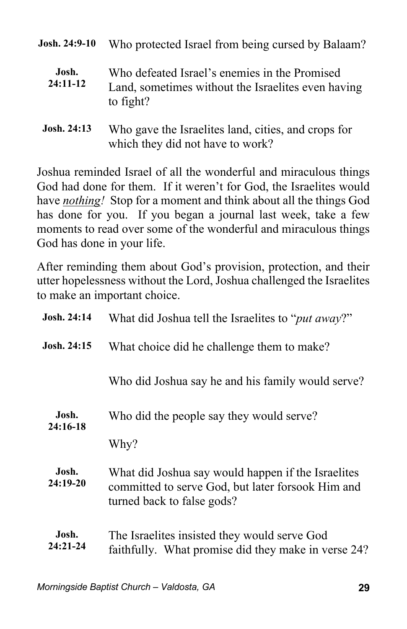| Josh. 24:9-10       | Who protected Israel from being cursed by Balaam?                                                                |
|---------------------|------------------------------------------------------------------------------------------------------------------|
| Josh.<br>$24:11-12$ | Who defeated Israel's enemies in the Promised<br>Land, sometimes without the Israelites even having<br>to fight? |
| Josh. 24:13         | Who gave the Israelites land, cities, and crops for<br>which they did not have to work?                          |

Joshua reminded Israel of all the wonderful and miraculous things God had done for them. If it weren't for God, the Israelites would have *nothing!* Stop for a moment and think about all the things God has done for you. If you began a journal last week, take a few moments to read over some of the wonderful and miraculous things God has done in your life.

After reminding them about God's provision, protection, and their utter hopelessness without the Lord, Joshua challenged the Israelites to make an important choice.

| Josh. 24:14         | What did Joshua tell the Israelites to " <i>put away</i> ?"                                                                           |  |
|---------------------|---------------------------------------------------------------------------------------------------------------------------------------|--|
| Josh. 24:15         | What choice did he challenge them to make?                                                                                            |  |
|                     | Who did Joshua say he and his family would serve?                                                                                     |  |
| Josh.<br>24:16-18   | Who did the people say they would serve?                                                                                              |  |
|                     | Why?                                                                                                                                  |  |
| Josh.<br>24:19-20   | What did Joshua say would happen if the Israelites<br>committed to serve God, but later forsook Him and<br>turned back to false gods? |  |
| Josh.<br>$24:21-24$ | The Israelites insisted they would serve God<br>faithfully. What promise did they make in verse 24?                                   |  |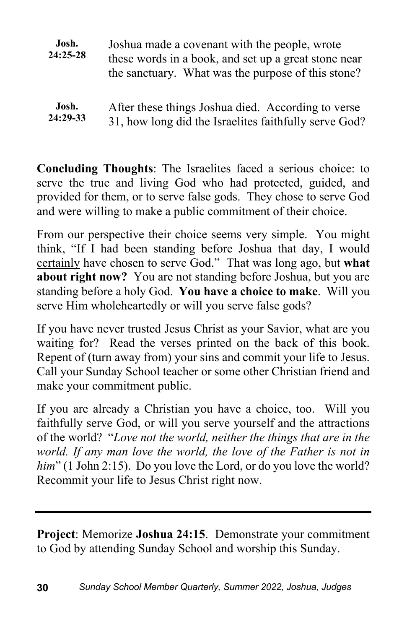| Josh.<br>$24:25-28$ | Joshua made a covenant with the people, wrote<br>these words in a book, and set up a great stone near<br>the sanctuary. What was the purpose of this stone? |  |
|---------------------|-------------------------------------------------------------------------------------------------------------------------------------------------------------|--|
| Josh.               | After these things Joshua died. According to verse                                                                                                          |  |
| 24:29-33            | 31, how long did the Israelites faithfully serve God?                                                                                                       |  |

**Concluding Thoughts**: The Israelites faced a serious choice: to serve the true and living God who had protected, guided, and provided for them, or to serve false gods. They chose to serve God and were willing to make a public commitment of their choice.

From our perspective their choice seems very simple. You might think, "If I had been standing before Joshua that day, I would certainly have chosen to serve God." That was long ago, but **what about right now?** You are not standing before Joshua, but you are standing before a holy God. **You have a choice to make**. Will you serve Him wholeheartedly or will you serve false gods?

If you have never trusted Jesus Christ as your Savior, what are you waiting for? Read the verses printed on the back of this book. Repent of (turn away from) your sins and commit your life to Jesus. Call your Sunday School teacher or some other Christian friend and make your commitment public.

If you are already a Christian you have a choice, too. Will you faithfully serve God, or will you serve yourself and the attractions of the world? "*Love not the world, neither the things that are in the world. If any man love the world, the love of the Father is not in* him" (1 John 2:15). Do you love the Lord, or do you love the world? Recommit your life to Jesus Christ right now.

**Project**: Memorize **Joshua 24:15**. Demonstrate your commitment to God by attending Sunday School and worship this Sunday.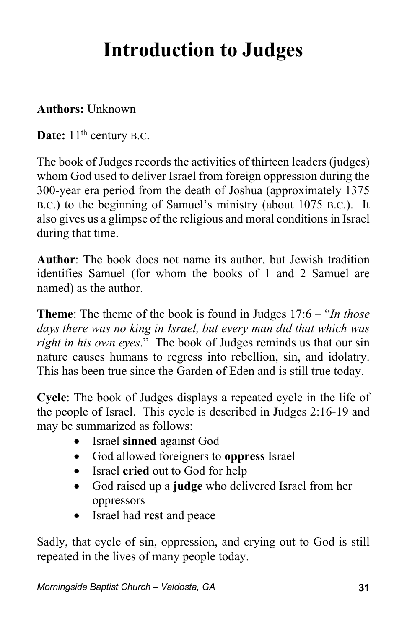## **Introduction to Judges**

#### **Authors:** Unknown

**Date:** 11<sup>th</sup> century B.C.

The book of Judges records the activities of thirteen leaders (judges) whom God used to deliver Israel from foreign oppression during the 300-year era period from the death of Joshua (approximately 1375 B.C.) to the beginning of Samuel's ministry (about 1075 B.C.). It also gives us a glimpse of the religious and moral conditions in Israel during that time.

**Author**: The book does not name its author, but Jewish tradition identifies Samuel (for whom the books of 1 and 2 Samuel are named) as the author.

**Theme**: The theme of the book is found in Judges 17:6 – "*In those days there was no king in Israel, but every man did that which was right in his own eyes*." The book of Judges reminds us that our sin nature causes humans to regress into rebellion, sin, and idolatry. This has been true since the Garden of Eden and is still true today.

**Cycle**: The book of Judges displays a repeated cycle in the life of the people of Israel. This cycle is described in Judges 2:16-19 and may be summarized as follows:

- Israel **sinned** against God
- God allowed foreigners to **oppress** Israel
- Israel **cried** out to God for help
- God raised up a **judge** who delivered Israel from her oppressors
- Israel had **rest** and peace

Sadly, that cycle of sin, oppression, and crying out to God is still repeated in the lives of many people today.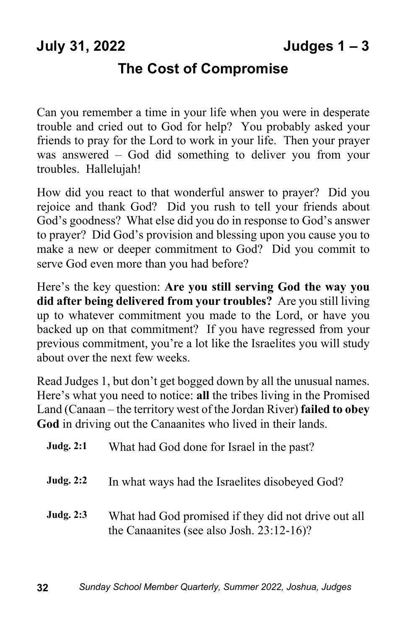### **July 31, 2022 Judges 1 – 3**

#### **The Cost of Compromise**

Can you remember a time in your life when you were in desperate trouble and cried out to God for help? You probably asked your friends to pray for the Lord to work in your life. Then your prayer was answered – God did something to deliver you from your troubles. Hallelujah!

How did you react to that wonderful answer to prayer? Did you rejoice and thank God? Did you rush to tell your friends about God's goodness? What else did you do in response to God's answer to prayer? Did God's provision and blessing upon you cause you to make a new or deeper commitment to God? Did you commit to serve God even more than you had before?

Here's the key question: **Are you still serving God the way you did after being delivered from your troubles?** Are you still living up to whatever commitment you made to the Lord, or have you backed up on that commitment? If you have regressed from your previous commitment, you're a lot like the Israelites you will study about over the next few weeks.

Read Judges 1, but don't get bogged down by all the unusual names. Here's what you need to notice: **all** the tribes living in the Promised Land (Canaan – the territory west of the Jordan River) **failed to obey God** in driving out the Canaanites who lived in their lands.

| <b>Judg. 2:1</b> | What had God done for Israel in the past?                                                           |  |  |
|------------------|-----------------------------------------------------------------------------------------------------|--|--|
| <b>Judg. 2:2</b> | In what ways had the Israelites disobeyed God?                                                      |  |  |
| <b>Judg. 2:3</b> | What had God promised if they did not drive out all<br>the Canaanites (see also Josh. $23:12-16$ )? |  |  |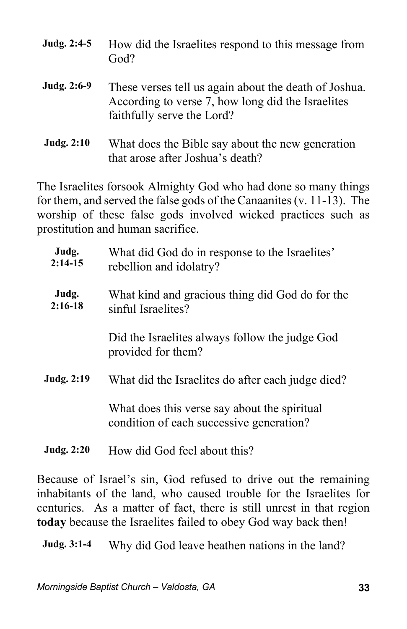| Judg. 2:4-5       | How did the Israelites respond to this message from<br>God?                                                                              |
|-------------------|------------------------------------------------------------------------------------------------------------------------------------------|
| Judg. 2:6-9       | These verses tell us again about the death of Joshua.<br>According to verse 7, how long did the Israelites<br>faithfully serve the Lord? |
| <b>Judg. 2:10</b> | What does the Bible say about the new generation<br>that arose after Joshua's death?                                                     |

The Israelites forsook Almighty God who had done so many things for them, and served the false gods of the Canaanites (v. 11-13). The worship of these false gods involved wicked practices such as prostitution and human sacrifice.

| Judg.<br>$2:14-15$ | What did God do in response to the Israelites'<br>rebellion and idolatry?                |  |
|--------------------|------------------------------------------------------------------------------------------|--|
| Judg.<br>$2:16-18$ | What kind and gracious thing did God do for the<br>sinful Israelites?                    |  |
|                    | Did the Israelites always follow the judge God<br>provided for them?                     |  |
| <b>Judg. 2:19</b>  | What did the Israelites do after each judge died?                                        |  |
|                    | What does this verse say about the spiritual<br>condition of each successive generation? |  |
|                    |                                                                                          |  |

**Judg. 2:20** How did God feel about this?

Because of Israel's sin, God refused to drive out the remaining inhabitants of the land, who caused trouble for the Israelites for centuries. As a matter of fact, there is still unrest in that region **today** because the Israelites failed to obey God way back then!

**Judg. 3:1-4** Why did God leave heathen nations in the land?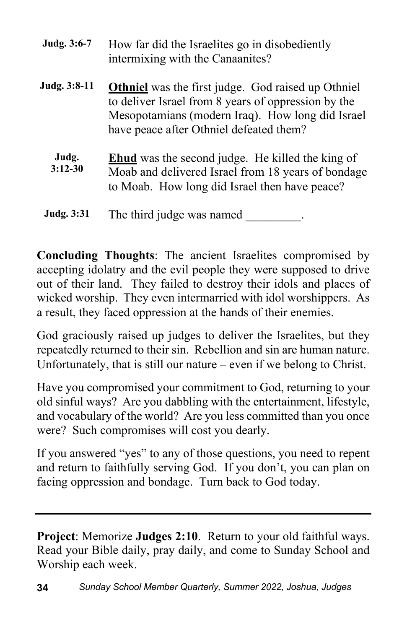|                    | intermixing with the Canaanites?                                                                                                                                                                                |
|--------------------|-----------------------------------------------------------------------------------------------------------------------------------------------------------------------------------------------------------------|
| Judg. 3:8-11       | <b>Othniel</b> was the first judge. God raised up Othniel<br>to deliver Israel from 8 years of oppression by the<br>Mesopotamians (modern Iraq). How long did Israel<br>have peace after Othniel defeated them? |
| Judg.<br>$3:12-30$ | <b>Ehud</b> was the second judge. He killed the king of<br>Moab and delivered Israel from 18 years of bondage<br>to Moab. How long did Israel then have peace?                                                  |
|                    |                                                                                                                                                                                                                 |

**Judg. 3:6-7** How far did the Israelites go in disobediently

**Judg.** 3:31 The third judge was named

**Concluding Thoughts**: The ancient Israelites compromised by accepting idolatry and the evil people they were supposed to drive out of their land. They failed to destroy their idols and places of wicked worship. They even intermarried with idol worshippers. As a result, they faced oppression at the hands of their enemies.

God graciously raised up judges to deliver the Israelites, but they repeatedly returned to their sin. Rebellion and sin are human nature. Unfortunately, that is still our nature – even if we belong to Christ.

Have you compromised your commitment to God, returning to your old sinful ways? Are you dabbling with the entertainment, lifestyle, and vocabulary of the world? Are you less committed than you once were? Such compromises will cost you dearly.

If you answered "yes" to any of those questions, you need to repent and return to faithfully serving God. If you don't, you can plan on facing oppression and bondage. Turn back to God today.

**Project**: Memorize **Judges 2:10**. Return to your old faithful ways. Read your Bible daily, pray daily, and come to Sunday School and Worship each week.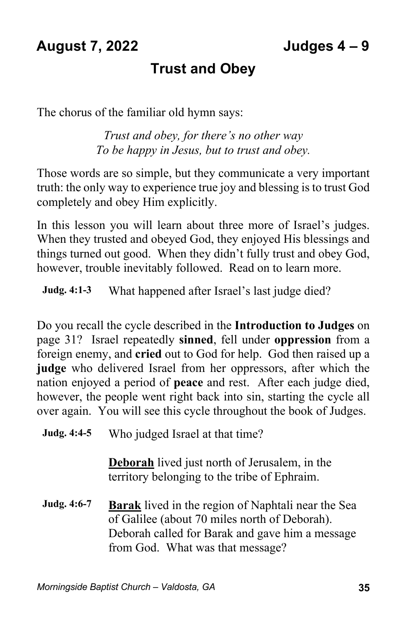#### **August 7, 2022 Judges 4 – 9**

### **Trust and Obey**

The chorus of the familiar old hymn says:

*Trust and obey, for there's no other way To be happy in Jesus, but to trust and obey.*

Those words are so simple, but they communicate a very important truth: the only way to experience true joy and blessing is to trust God completely and obey Him explicitly.

In this lesson you will learn about three more of Israel's judges. When they trusted and obeyed God, they enjoyed His blessings and things turned out good. When they didn't fully trust and obey God, however, trouble inevitably followed. Read on to learn more.

**Judg. 4:1-3** What happened after Israel's last judge died?

Do you recall the cycle described in the **Introduction to Judges** on page 31? Israel repeatedly **sinned**, fell under **oppression** from a foreign enemy, and **cried** out to God for help. God then raised up a **judge** who delivered Israel from her oppressors, after which the nation enjoyed a period of **peace** and rest. After each judge died, however, the people went right back into sin, starting the cycle all over again. You will see this cycle throughout the book of Judges.

**Judg. 4:4-5** Who judged Israel at that time?

**Deborah** lived just north of Jerusalem, in the territory belonging to the tribe of Ephraim.

**Judg. 4:6-7 Barak** lived in the region of Naphtali near the Sea of Galilee (about 70 miles north of Deborah). Deborah called for Barak and gave him a message from God. What was that message?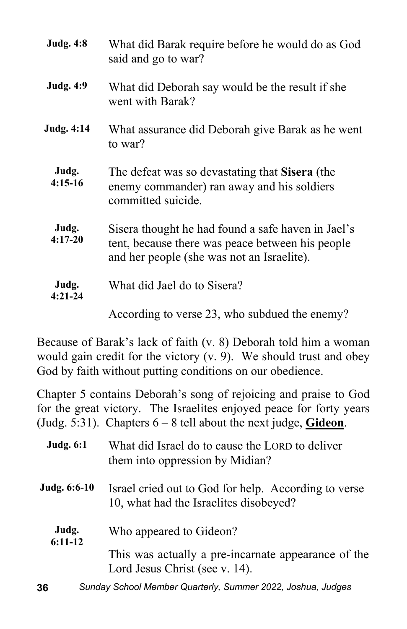| <b>Judg. 4:8</b>   | What did Barak require before he would do as God<br>said and go to war?                                                                              |
|--------------------|------------------------------------------------------------------------------------------------------------------------------------------------------|
| <b>Judg. 4:9</b>   | What did Deborah say would be the result if she<br>went with Barak?                                                                                  |
| <b>Judg. 4:14</b>  | What assurance did Deborah give Barak as he went<br>to war?                                                                                          |
| Judg.<br>$4:15-16$ | The defeat was so devastating that Sisera (the<br>enemy commander) ran away and his soldiers<br>committed suicide.                                   |
| Judg.<br>$4:17-20$ | Sisera thought he had found a safe haven in Jael's<br>tent, because there was peace between his people<br>and her people (she was not an Israelite). |
| Judg.<br>$4:21-24$ | What did Jael do to Sisera?                                                                                                                          |
|                    | According to verse 23, who subdued the enemy?                                                                                                        |

Because of Barak's lack of faith (v. 8) Deborah told him a woman would gain credit for the victory (v. 9). We should trust and obey God by faith without putting conditions on our obedience.

Chapter 5 contains Deborah's song of rejoicing and praise to God for the great victory. The Israelites enjoyed peace for forty years (Judg. 5:31). Chapters 6 – 8 tell about the next judge, **Gideon**.

| <b>Judg. 6:1</b>   | What did Israel do to cause the LORD to deliver<br>them into oppression by Midian?             |
|--------------------|------------------------------------------------------------------------------------------------|
| Judg. 6:6-10       | Israel cried out to God for help. According to verse<br>10, what had the Israelites disobeyed? |
| Judg.<br>$6:11-12$ | Who appeared to Gideon?                                                                        |
|                    | This was actually a pre-incarnate appearance of the<br>Lord Jesus Christ (see v. 14).          |
| 36                 | Sunday School Member Quarterly, Summer 2022, Joshua, Judges                                    |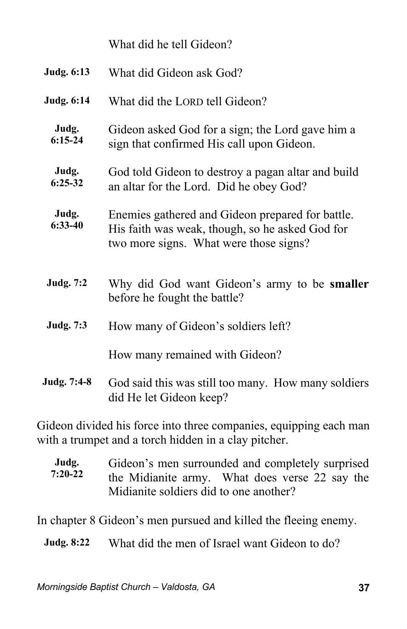|                    | What did he tell Gideon?                                                                                                                      |  |  |
|--------------------|-----------------------------------------------------------------------------------------------------------------------------------------------|--|--|
| Judg. 6:13         | What did Gideon ask God?                                                                                                                      |  |  |
| Judg. 6:14         | What did the LORD tell Gideon?                                                                                                                |  |  |
| Judg.<br>$6:15-24$ | Gideon asked God for a sign; the Lord gave him a<br>sign that confirmed His call upon Gideon.                                                 |  |  |
| Judg.<br>$6:25-32$ | God told Gideon to destroy a pagan altar and build<br>an altar for the Lord. Did he obey God?                                                 |  |  |
| Judg.<br>$6:33-40$ | Enemies gathered and Gideon prepared for battle.<br>His faith was weak, though, so he asked God for<br>two more signs. What were those signs? |  |  |
| Judg. 7:2          | Why did God want Gideon's army to be <b>smaller</b><br>before he fought the battle?                                                           |  |  |
| Judg. 7:3          | How many of Gideon's soldiers left?                                                                                                           |  |  |
|                    | How many remained with Gideon?                                                                                                                |  |  |
| Judg. 7:4-8        | God said this was still too many. How many soldiers<br>did He let Gideon keep?                                                                |  |  |
|                    |                                                                                                                                               |  |  |

Gideon divided his force into three companies, equipping each man with a trumpet and a torch hidden in a clay pitcher.

| Judg.<br>$7:20-22$ | Gideon's men surrounded and completely surprised |
|--------------------|--------------------------------------------------|
|                    | the Midianite army. What does verse 22 say the   |
|                    | Midianite soldiers did to one another?           |

In chapter 8 Gideon's men pursued and killed the fleeing enemy.

**Judg. 8:22** What did the men of Israel want Gideon to do?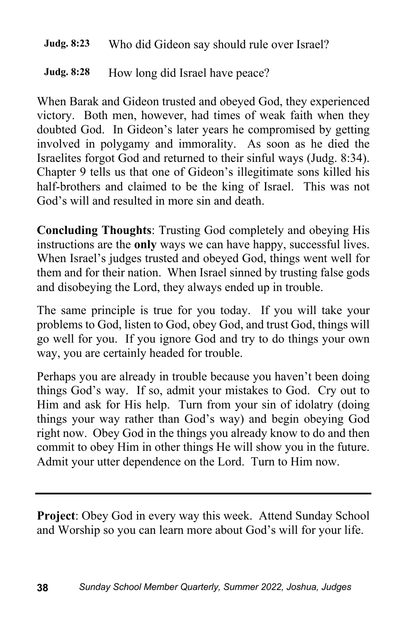#### **Judg. 8:23** Who did Gideon say should rule over Israel?

#### **Judg. 8:28** How long did Israel have peace?

When Barak and Gideon trusted and obeyed God, they experienced victory. Both men, however, had times of weak faith when they doubted God. In Gideon's later years he compromised by getting involved in polygamy and immorality. As soon as he died the Israelites forgot God and returned to their sinful ways (Judg. 8:34). Chapter 9 tells us that one of Gideon's illegitimate sons killed his half-brothers and claimed to be the king of Israel. This was not God's will and resulted in more sin and death.

**Concluding Thoughts**: Trusting God completely and obeying His instructions are the **only** ways we can have happy, successful lives. When Israel's judges trusted and obeyed God, things went well for them and for their nation. When Israel sinned by trusting false gods and disobeying the Lord, they always ended up in trouble.

The same principle is true for you today. If you will take your problems to God, listen to God, obey God, and trust God, things will go well for you. If you ignore God and try to do things your own way, you are certainly headed for trouble.

Perhaps you are already in trouble because you haven't been doing things God's way. If so, admit your mistakes to God. Cry out to Him and ask for His help. Turn from your sin of idolatry (doing things your way rather than God's way) and begin obeying God right now. Obey God in the things you already know to do and then commit to obey Him in other things He will show you in the future. Admit your utter dependence on the Lord. Turn to Him now.

**Project**: Obey God in every way this week. Attend Sunday School and Worship so you can learn more about God's will for your life.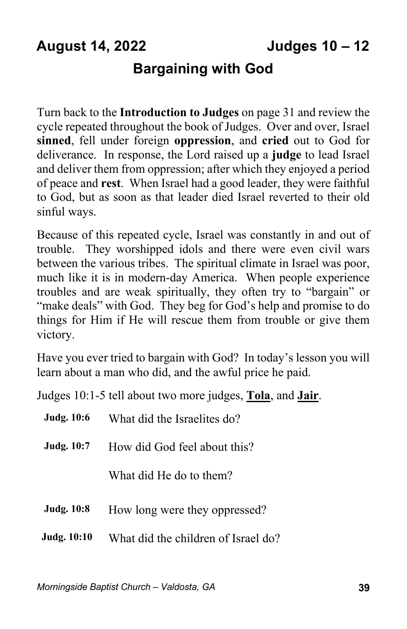## **August 14, 2022 Judges 10 – 12**

### **Bargaining with God**

Turn back to the **Introduction to Judges** on page 31 and review the cycle repeated throughout the book of Judges. Over and over, Israel **sinned**, fell under foreign **oppression**, and **cried** out to God for deliverance. In response, the Lord raised up a **judge** to lead Israel and deliver them from oppression; after which they enjoyed a period of peace and **rest**. When Israel had a good leader, they were faithful to God, but as soon as that leader died Israel reverted to their old sinful ways.

Because of this repeated cycle, Israel was constantly in and out of trouble. They worshipped idols and there were even civil wars between the various tribes. The spiritual climate in Israel was poor, much like it is in modern-day America. When people experience troubles and are weak spiritually, they often try to "bargain" or "make deals" with God. They beg for God's help and promise to do things for Him if He will rescue them from trouble or give them victory.

Have you ever tried to bargain with God? In today's lesson you will learn about a man who did, and the awful price he paid.

Judges 10:1-5 tell about two more judges, **Tola**, and **Jair**.

| <b>Judg. 10:6</b>  | What did the Israelites do?         |  |
|--------------------|-------------------------------------|--|
| <b>Judg.</b> 10:7  | How did God feel about this?        |  |
|                    | What did He do to them?             |  |
| <b>Judg. 10:8</b>  | How long were they oppressed?       |  |
| <b>Judg. 10:10</b> | What did the children of Israel do? |  |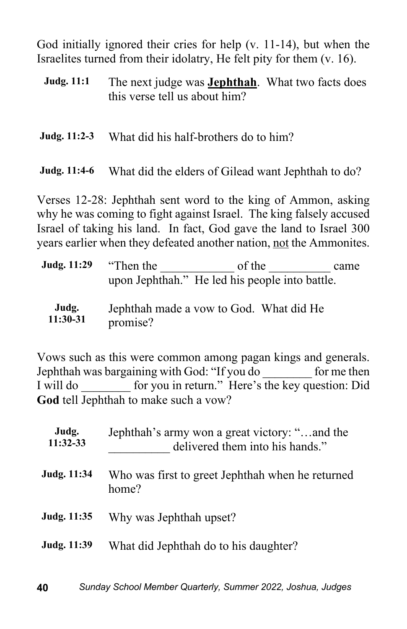God initially ignored their cries for help (v. 11-14), but when the Israelites turned from their idolatry, He felt pity for them (v. 16).

**Judg. 11:1** The next judge was **Jephthah**. What two facts does this verse tell us about him?

**Judg. 11:2-3** What did his half-brothers do to him?

**Judg. 11:4-6** What did the elders of Gilead want Jephthah to do?

Verses 12-28: Jephthah sent word to the king of Ammon, asking why he was coming to fight against Israel. The king falsely accused Israel of taking his land. In fact, God gave the land to Israel 300 years earlier when they defeated another nation, not the Ammonites.

| Judg. 11:29       | "Then the | of the<br>upon Jephthah." He led his people into battle. | came |
|-------------------|-----------|----------------------------------------------------------|------|
| Judg.<br>11:30-31 | promise?  | Jephthah made a vow to God. What did He                  |      |

Vows such as this were common among pagan kings and generals. Jephthah was bargaining with God: "If you do \_\_\_\_\_\_\_\_ for me then I will do for you in return." Here's the key question: Did **God** tell Jephthah to make such a vow?

| Judg.<br>$11:32-33$ | Jephthah's army won a great victory: "and the<br>delivered them into his hands." |  |
|---------------------|----------------------------------------------------------------------------------|--|
| Judg. 11:34         | Who was first to greet Jephthah when he returned<br>home?                        |  |
| Judg. 11:35         | Why was Jephthah upset?                                                          |  |
| Judg. 11:39         | What did Jephthah do to his daughter?                                            |  |
|                     |                                                                                  |  |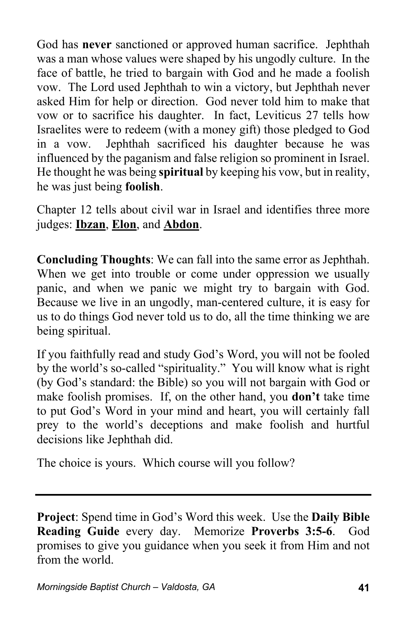God has **never** sanctioned or approved human sacrifice. Jephthah was a man whose values were shaped by his ungodly culture. In the face of battle, he tried to bargain with God and he made a foolish vow. The Lord used Jephthah to win a victory, but Jephthah never asked Him for help or direction. God never told him to make that vow or to sacrifice his daughter. In fact, Leviticus 27 tells how Israelites were to redeem (with a money gift) those pledged to God in a vow. Jephthah sacrificed his daughter because he was influenced by the paganism and false religion so prominent in Israel. He thought he was being **spiritual** by keeping his vow, but in reality, he was just being **foolish**.

Chapter 12 tells about civil war in Israel and identifies three more judges: **Ibzan**, **Elon**, and **Abdon**.

**Concluding Thoughts**: We can fall into the same error as Jephthah. When we get into trouble or come under oppression we usually panic, and when we panic we might try to bargain with God. Because we live in an ungodly, man-centered culture, it is easy for us to do things God never told us to do, all the time thinking we are being spiritual.

If you faithfully read and study God's Word, you will not be fooled by the world's so-called "spirituality." You will know what is right (by God's standard: the Bible) so you will not bargain with God or make foolish promises. If, on the other hand, you **don't** take time to put God's Word in your mind and heart, you will certainly fall prey to the world's deceptions and make foolish and hurtful decisions like Jephthah did.

The choice is yours. Which course will you follow?

**Project**: Spend time in God's Word this week. Use the **Daily Bible Reading Guide** every day. Memorize **Proverbs 3:5-6**. God promises to give you guidance when you seek it from Him and not from the world.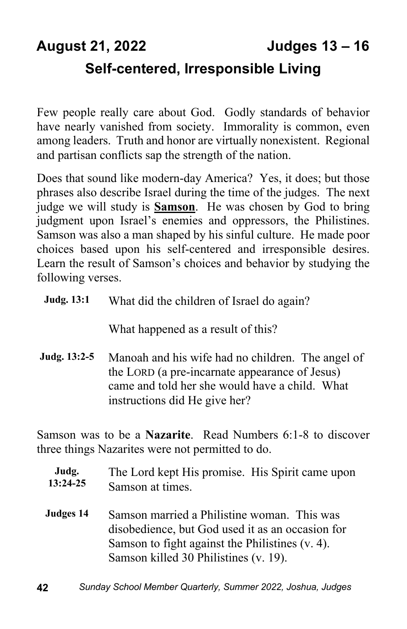## **August 21, 2022 Judges 13 – 16 Self-centered, Irresponsible Living**

Few people really care about God. Godly standards of behavior have nearly vanished from society. Immorality is common, even among leaders. Truth and honor are virtually nonexistent. Regional and partisan conflicts sap the strength of the nation.

Does that sound like modern-day America? Yes, it does; but those phrases also describe Israel during the time of the judges. The next judge we will study is **Samson**. He was chosen by God to bring judgment upon Israel's enemies and oppressors, the Philistines. Samson was also a man shaped by his sinful culture. He made poor choices based upon his self-centered and irresponsible desires. Learn the result of Samson's choices and behavior by studying the following verses.

| <b>Judg. 13:1</b> | What did the children of Israel do again? |  |
|-------------------|-------------------------------------------|--|
|-------------------|-------------------------------------------|--|

What happened as a result of this?

**Judg. 13:2-5** Manoah and his wife had no children. The angel of the LORD (a pre-incarnate appearance of Jesus) came and told her she would have a child. What instructions did He give her?

Samson was to be a **Nazarite**. Read Numbers 6:1-8 to discover three things Nazarites were not permitted to do.

| Judg.      | The Lord kept His promise. His Spirit came upon |  |
|------------|-------------------------------------------------|--|
| $13:24-25$ | Samson at times.                                |  |

**Judges 14** Samson married a Philistine woman. This was disobedience, but God used it as an occasion for Samson to fight against the Philistines (v. 4). Samson killed 30 Philistines (v. 19).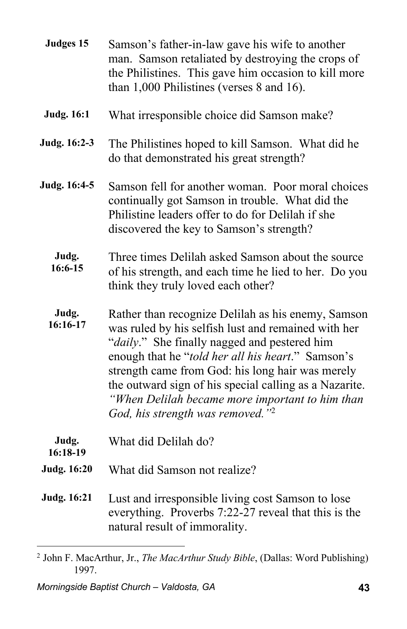| Judges 15           | Samson's father-in-law gave his wife to another<br>man. Samson retaliated by destroying the crops of<br>the Philistines. This gave him occasion to kill more<br>than 1,000 Philistines (verses 8 and 16).                                                                                                                                                                                                                       |
|---------------------|---------------------------------------------------------------------------------------------------------------------------------------------------------------------------------------------------------------------------------------------------------------------------------------------------------------------------------------------------------------------------------------------------------------------------------|
| <b>Judg. 16:1</b>   | What irresponsible choice did Samson make?                                                                                                                                                                                                                                                                                                                                                                                      |
| Judg. 16:2-3        | The Philistines hoped to kill Samson. What did he<br>do that demonstrated his great strength?                                                                                                                                                                                                                                                                                                                                   |
| <b>Judg. 16:4-5</b> | Samson fell for another woman. Poor moral choices<br>continually got Samson in trouble. What did the<br>Philistine leaders offer to do for Delilah if she<br>discovered the key to Samson's strength?                                                                                                                                                                                                                           |
| Judg.<br>16:6-15    | Three times Delilah asked Samson about the source<br>of his strength, and each time he lied to her. Do you<br>think they truly loved each other?                                                                                                                                                                                                                                                                                |
| Judg.<br>16:16-17   | Rather than recognize Delilah as his enemy, Samson<br>was ruled by his selfish lust and remained with her<br>"daily." She finally nagged and pestered him<br>enough that he "told her all his heart." Samson's<br>strength came from God: his long hair was merely<br>the outward sign of his special calling as a Nazarite.<br>"When Delilah became more important to him than<br>God, his strength was removed." <sup>2</sup> |
| Judg.<br>$16:18-19$ | What did Delilah do?                                                                                                                                                                                                                                                                                                                                                                                                            |
| <b>Judg. 16:20</b>  | What did Samson not realize?                                                                                                                                                                                                                                                                                                                                                                                                    |
| <b>Judg. 16:21</b>  | Lust and irresponsible living cost Samson to lose<br>everything. Proverbs 7:22-27 reveal that this is the<br>natural result of immorality.                                                                                                                                                                                                                                                                                      |
|                     |                                                                                                                                                                                                                                                                                                                                                                                                                                 |

<sup>2</sup> John F. MacArthur, Jr., *The MacArthur Study Bible*, (Dallas: Word Publishing) 1997.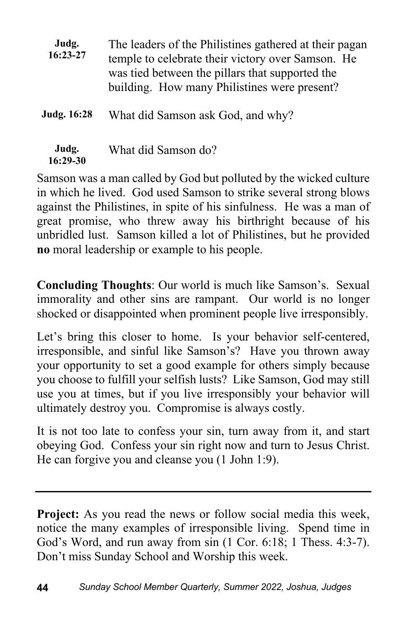| Judg.<br>16:23-27  | The leaders of the Philistines gathered at their pagan<br>temple to celebrate their victory over Samson. He<br>was tied between the pillars that supported the<br>building. How many Philistines were present? |
|--------------------|----------------------------------------------------------------------------------------------------------------------------------------------------------------------------------------------------------------|
| <b>Judg. 16:28</b> | What did Samson ask God, and why?                                                                                                                                                                              |
| Judg.<br>16:29-30  | What did Samson do?                                                                                                                                                                                            |

Samson was a man called by God but polluted by the wicked culture in which he lived. God used Samson to strike several strong blows against the Philistines, in spite of his sinfulness. He was a man of great promise, who threw away his birthright because of his unbridled lust. Samson killed a lot of Philistines, but he provided **no** moral leadership or example to his people.

**Concluding Thoughts**: Our world is much like Samson's. Sexual immorality and other sins are rampant. Our world is no longer shocked or disappointed when prominent people live irresponsibly.

Let's bring this closer to home. Is your behavior self-centered, irresponsible, and sinful like Samson's? Have you thrown away your opportunity to set a good example for others simply because you choose to fulfill your selfish lusts? Like Samson, God may still use you at times, but if you live irresponsibly your behavior will ultimately destroy you. Compromise is always costly.

It is not too late to confess your sin, turn away from it, and start obeying God. Confess your sin right now and turn to Jesus Christ. He can forgive you and cleanse you (1 John 1:9).

**Project:** As you read the news or follow social media this week, notice the many examples of irresponsible living. Spend time in God's Word, and run away from sin (1 Cor. 6:18; 1 Thess. 4:3-7). Don't miss Sunday School and Worship this week.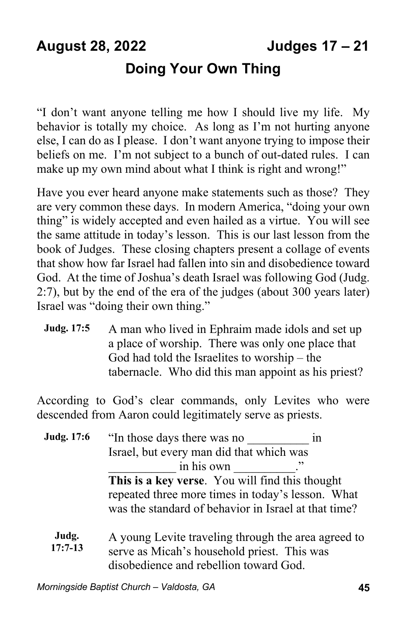## **August 28, 2022 Judges 17 – 21 Doing Your Own Thing**

"I don't want anyone telling me how I should live my life. My behavior is totally my choice. As long as I'm not hurting anyone else, I can do as I please. I don't want anyone trying to impose their beliefs on me. I'm not subject to a bunch of out-dated rules. I can make up my own mind about what I think is right and wrong!"

Have you ever heard anyone make statements such as those? They are very common these days. In modern America, "doing your own thing" is widely accepted and even hailed as a virtue. You will see the same attitude in today's lesson. This is our last lesson from the book of Judges. These closing chapters present a collage of events that show how far Israel had fallen into sin and disobedience toward God. At the time of Joshua's death Israel was following God (Judg. 2:7), but by the end of the era of the judges (about 300 years later) Israel was "doing their own thing."

**Judg. 17:5** A man who lived in Ephraim made idols and set up a place of worship. There was only one place that God had told the Israelites to worship – the tabernacle. Who did this man appoint as his priest?

According to God's clear commands, only Levites who were descended from Aaron could legitimately serve as priests.

| Judg. 17:6         | "In those days there was no                                                                        | 1n |
|--------------------|----------------------------------------------------------------------------------------------------|----|
|                    | Israel, but every man did that which was                                                           |    |
|                    | in his own                                                                                         |    |
|                    | This is a key verse. You will find this thought                                                    |    |
|                    | repeated three more times in today's lesson. What                                                  |    |
|                    | was the standard of behavior in Israel at that time?                                               |    |
| Judg.<br>$17:7-13$ | A young Levite traveling through the area agreed to<br>serve as Micah's household priest. This was |    |
|                    | disobedience and rebellion toward God.                                                             |    |

*Morningside Baptist Church – Valdosta, GA* **45**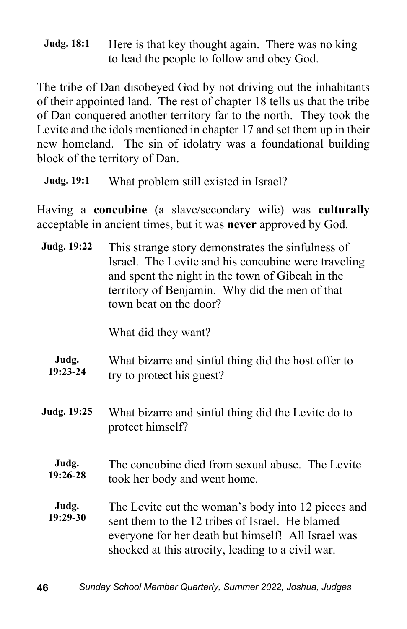**Judg. 18:1** Here is that key thought again. There was no king to lead the people to follow and obey God.

The tribe of Dan disobeyed God by not driving out the inhabitants of their appointed land. The rest of chapter 18 tells us that the tribe of Dan conquered another territory far to the north. They took the Levite and the idols mentioned in chapter 17 and set them up in their new homeland. The sin of idolatry was a foundational building block of the territory of Dan.

**Judg. 19:1** What problem still existed in Israel?

Having a **concubine** (a slave/secondary wife) was **culturally** acceptable in ancient times, but it was **never** approved by God.

| Judg. 19:22       | This strange story demonstrates the sinfulness of<br>Israel. The Levite and his concubine were traveling<br>and spent the night in the town of Gibeah in the<br>territory of Benjamin. Why did the men of that<br>town beat on the door? |
|-------------------|------------------------------------------------------------------------------------------------------------------------------------------------------------------------------------------------------------------------------------------|
|                   | What did they want?                                                                                                                                                                                                                      |
| Judg.<br>19:23-24 | What bizarre and sinful thing did the host offer to<br>try to protect his guest?                                                                                                                                                         |
| Judg. 19:25       | What bizarre and sinful thing did the Levite do to<br>protect himself?                                                                                                                                                                   |
| Judg.<br>19:26-28 | The concubine died from sexual abuse. The Levite<br>took her body and went home.                                                                                                                                                         |
| Judg.<br>19:29-30 | The Levite cut the woman's body into 12 pieces and<br>sent them to the 12 tribes of Israel. He blamed<br>everyone for her death but himself! All Israel was<br>shocked at this atrocity, leading to a civil war.                         |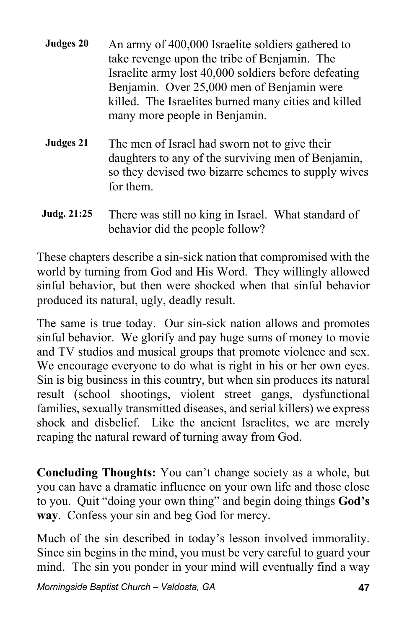- **Judges 20** An army of 400,000 Israelite soldiers gathered to take revenge upon the tribe of Benjamin. The Israelite army lost 40,000 soldiers before defeating Benjamin. Over 25,000 men of Benjamin were killed. The Israelites burned many cities and killed many more people in Benjamin.
- **Judges 21** The men of Israel had sworn not to give their daughters to any of the surviving men of Benjamin, so they devised two bizarre schemes to supply wives for them.
- **Judg. 21:25** There was still no king in Israel. What standard of behavior did the people follow?

These chapters describe a sin-sick nation that compromised with the world by turning from God and His Word. They willingly allowed sinful behavior, but then were shocked when that sinful behavior produced its natural, ugly, deadly result.

The same is true today. Our sin-sick nation allows and promotes sinful behavior. We glorify and pay huge sums of money to movie and TV studios and musical groups that promote violence and sex. We encourage everyone to do what is right in his or her own eyes. Sin is big business in this country, but when sin produces its natural result (school shootings, violent street gangs, dysfunctional families, sexually transmitted diseases, and serial killers) we express shock and disbelief. Like the ancient Israelites, we are merely reaping the natural reward of turning away from God.

**Concluding Thoughts:** You can't change society as a whole, but you can have a dramatic influence on your own life and those close to you. Quit "doing your own thing" and begin doing things **God's way**. Confess your sin and beg God for mercy.

Much of the sin described in today's lesson involved immorality. Since sin begins in the mind, you must be very careful to guard your mind. The sin you ponder in your mind will eventually find a way

*Morningside Baptist Church – Valdosta, GA* **47**